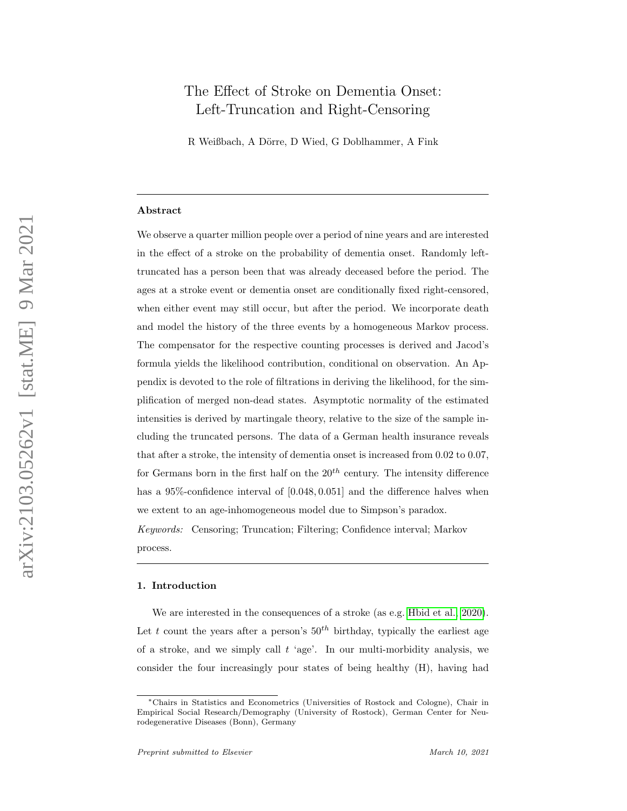# The Effect of Stroke on Dementia Onset: Left-Truncation and Right-Censoring

R Weißbach, A Dörre, D Wied, G Doblhammer, A Fink

#### Abstract

We observe a quarter million people over a period of nine years and are interested in the effect of a stroke on the probability of dementia onset. Randomly lefttruncated has a person been that was already deceased before the period. The ages at a stroke event or dementia onset are conditionally fixed right-censored, when either event may still occur, but after the period. We incorporate death and model the history of the three events by a homogeneous Markov process. The compensator for the respective counting processes is derived and Jacod's formula yields the likelihood contribution, conditional on observation. An Appendix is devoted to the role of filtrations in deriving the likelihood, for the simplification of merged non-dead states. Asymptotic normality of the estimated intensities is derived by martingale theory, relative to the size of the sample including the truncated persons. The data of a German health insurance reveals that after a stroke, the intensity of dementia onset is increased from 0.02 to 0.07, for Germans born in the first half on the  $20^{th}$  century. The intensity difference has a 95%-confidence interval of  $[0.048, 0.051]$  and the difference halves when we extent to an age-inhomogeneous model due to Simpson's paradox. Keywords: Censoring; Truncation; Filtering; Confidence interval; Markov process.

# 1. Introduction

We are interested in the consequences of a stroke (as e.g. [Hbid et al., 2020\)](#page-15-0). Let t count the years after a person's  $50<sup>th</sup>$  birthday, typically the earliest age of a stroke, and we simply call  $t$  'age'. In our multi-morbidity analysis, we consider the four increasingly pour states of being healthy (H), having had

<sup>∗</sup>Chairs in Statistics and Econometrics (Universities of Rostock and Cologne), Chair in Empirical Social Research/Demography (University of Rostock), German Center for Neurodegenerative Diseases (Bonn), Germany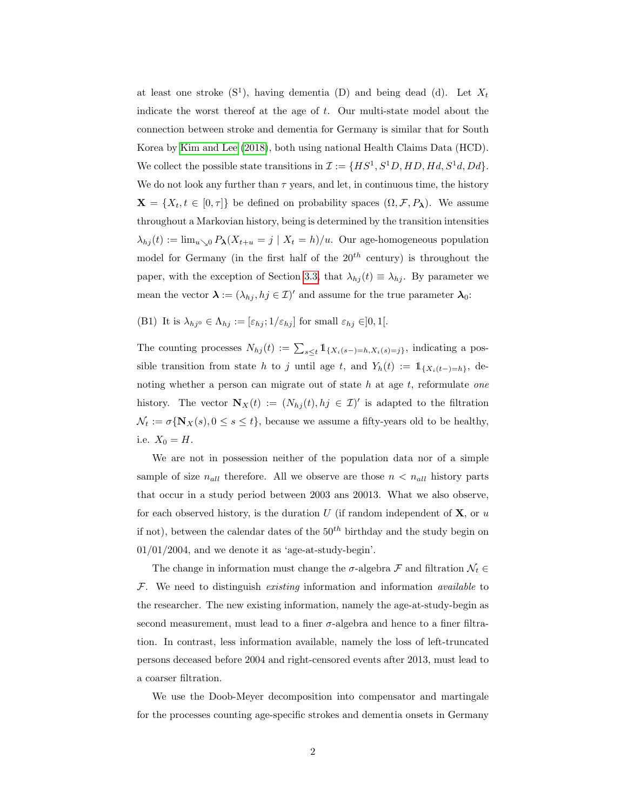at least one stroke  $(S^1)$ , having dementia  $(D)$  and being dead  $(d)$ . Let  $X_t$ indicate the worst thereof at the age of t. Our multi-state model about the connection between stroke and dementia for Germany is similar that for South Korea by [Kim and Lee](#page-15-1) [\(2018\)](#page-15-1), both using national Health Claims Data (HCD). We collect the possible state transitions in  $\mathcal{I} := \{ HS^1, S^1D, HD, Hd, S^1d, Dd\}.$ We do not look any further than  $\tau$  years, and let, in continuous time, the history  $\mathbf{X} = \{X_t, t \in [0, \tau]\}\$ be defined on probability spaces  $(\Omega, \mathcal{F}, P_\lambda)$ . We assume throughout a Markovian history, being is determined by the transition intensities  $\lambda_{hj}(t) := \lim_{u \searrow 0} P_{\lambda}(X_{t+u} = j \mid X_t = h)/u$ . Our age-homogeneous population model for Germany (in the first half of the  $20^{th}$  century) is throughout the paper, with the exception of Section [3.3,](#page-10-0) that  $\lambda_{hj}(t) \equiv \lambda_{hj}$ . By parameter we mean the vector  $\lambda := (\lambda_{hj}, hj \in \mathcal{I})'$  and assume for the true parameter  $\lambda_0$ :

<span id="page-1-0"></span>(B1) It is  $\lambda_{hj} \in \Lambda_{hj} := [\varepsilon_{hj}; 1/\varepsilon_{hj}]$  for small  $\varepsilon_{hj} \in ]0,1[$ .

The counting processes  $N_{hj}(t) := \sum_{s \leq t} 1_{\{X_i(s-) = h, X_i(s) = j\}},$  indicating a possible transition from state h to j until age t, and  $Y_h(t) := 1_{\{X_i(t-)=h\}},$  denoting whether a person can migrate out of state  $h$  at age  $t$ , reformulate one history. The vector  $\mathbf{N}_X(t) := (N_{hj}(t), hj \in \mathcal{I})'$  is adapted to the filtration  $\mathcal{N}_t := \sigma\{\mathbf{N}_X(s), 0 \leq s \leq t\}$ , because we assume a fifty-years old to be healthy, i.e.  $X_0 = H$ .

We are not in possession neither of the population data nor of a simple sample of size  $n_{all}$  therefore. All we observe are those  $n < n_{all}$  history parts that occur in a study period between 2003 ans 20013. What we also observe, for each observed history, is the duration U (if random independent of  $X$ , or u if not), between the calendar dates of the  $50<sup>th</sup>$  birthday and the study begin on  $01/01/2004,$  and we denote it as 'age-at-study-begin'.

The change in information must change the  $\sigma$ -algebra  $\mathcal F$  and filtration  $\mathcal N_t \in$  $F$ . We need to distinguish *existing* information and information *available* to the researcher. The new existing information, namely the age-at-study-begin as second measurement, must lead to a finer  $\sigma$ -algebra and hence to a finer filtration. In contrast, less information available, namely the loss of left-truncated persons deceased before 2004 and right-censored events after 2013, must lead to a coarser filtration.

We use the Doob-Meyer decomposition into compensator and martingale for the processes counting age-specific strokes and dementia onsets in Germany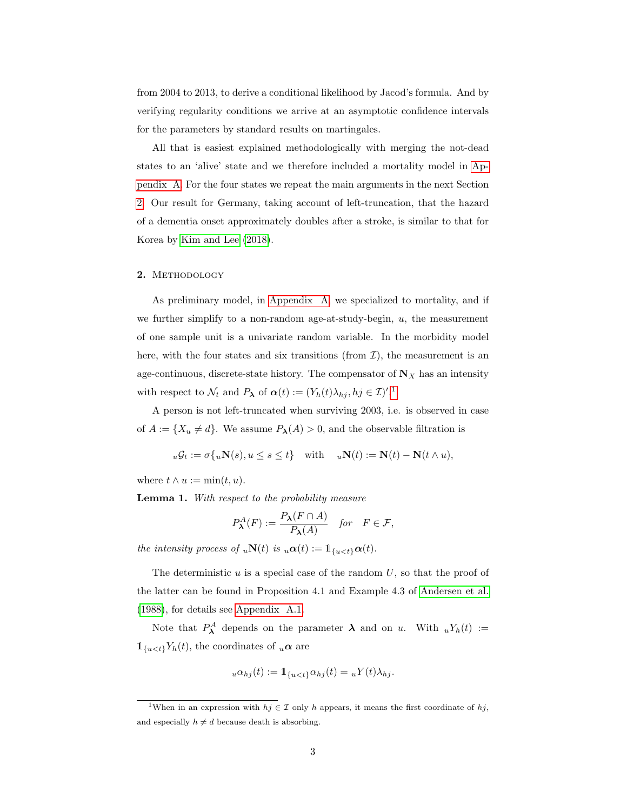from 2004 to 2013, to derive a conditional likelihood by Jacod's formula. And by verifying regularity conditions we arrive at an asymptotic confidence intervals for the parameters by standard results on martingales.

All that is easiest explained methodologically with merging the not-dead states to an 'alive' state and we therefore included a mortality model in [Ap](#page-16-0)[pendix A.](#page-16-0) For the four states we repeat the main arguments in the next Section [2.](#page-2-0) Our result for Germany, taking account of left-truncation, that the hazard of a dementia onset approximately doubles after a stroke, is similar to that for Korea by [Kim and Lee](#page-15-1) [\(2018\)](#page-15-1).

## <span id="page-2-0"></span>2. METHODOLOGY

As preliminary model, in [Appendix A,](#page-16-0) we specialized to mortality, and if we further simplify to a non-random age-at-study-begin,  $u$ , the measurement of one sample unit is a univariate random variable. In the morbidity model here, with the four states and six transitions (from  $\mathcal{I}$ ), the measurement is an age-continuous, discrete-state history. The compensator of  $N_X$  has an intensity with respect to  $\mathcal{N}_t$  and  $P_{\lambda}$  of  $\boldsymbol{\alpha}(t) := (Y_h(t)\lambda_{hj}, hj \in \mathcal{I})'.^1$  $\boldsymbol{\alpha}(t) := (Y_h(t)\lambda_{hj}, hj \in \mathcal{I})'.^1$ 

A person is not left-truncated when surviving 2003, i.e. is observed in case of  $A := \{X_u \neq d\}$ . We assume  $P_{\lambda}(A) > 0$ , and the observable filtration is

$$
u\mathcal{G}_t := \sigma\{u\mathbf{N}(s), u \le s \le t\} \quad \text{with} \quad u\mathbf{N}(t) := \mathbf{N}(t) - \mathbf{N}(t \wedge u),
$$

where  $t \wedge u := \min(t, u)$ .

Lemma 1. With respect to the probability measure

$$
P^A_{\lambda}(F) := \frac{P_{\lambda}(F \cap A)}{P_{\lambda}(A)} \quad \text{for} \quad F \in \mathcal{F},
$$

the intensity process of  $_u\mathbf{N}(t)$  is  $_u\alpha(t) := \mathbb{1}_{\{u < t\}}\alpha(t)$ .

The deterministic  $u$  is a special case of the random  $U$ , so that the proof of the latter can be found in Proposition 4.1 and Example 4.3 of [Andersen et al.](#page-15-2) [\(1988\)](#page-15-2), for details see [Appendix A.1.](#page-16-1)

Note that  $P^A_{\lambda}$  depends on the parameter  $\lambda$  and on u. With  $_u Y_h(t) :=$  $\mathbb{1}_{\{u \leq t\}} Y_h(t)$ , the coordinates of  $_u \alpha$  are

$$
u\alpha_{hj}(t) := \mathbb{1}_{\{u < t\}} \alpha_{hj}(t) = uY(t)\lambda_{hj}.
$$

<span id="page-2-1"></span><sup>&</sup>lt;sup>1</sup>When in an expression with  $hj \in \mathcal{I}$  only h appears, it means the first coordinate of hj, and especially  $h \neq d$  because death is absorbing.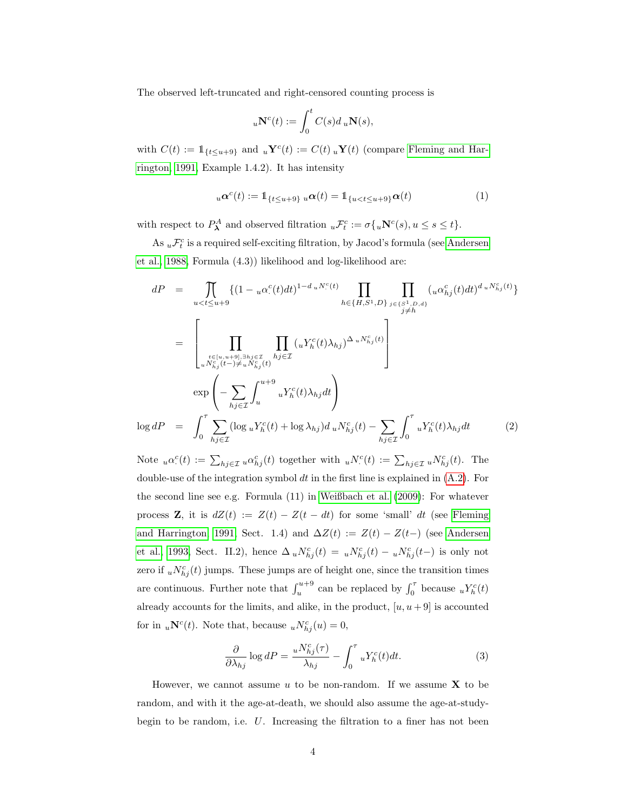The observed left-truncated and right-censored counting process is

$$
{}_{u}\mathbf{N}^{c}(t) := \int_{0}^{t} C(s)d u \mathbf{N}(s),
$$

with  $C(t) := \mathbb{1}_{\{t \le u+9\}}$  and  $u\mathbf{Y}^c(t) := C(t) u\mathbf{Y}(t)$  (compare [Fleming and Har](#page-15-3)[rington, 1991,](#page-15-3) Example 1.4.2). It has intensity

<span id="page-3-1"></span>
$$
{}_{u}\alpha^{c}(t) := 1_{\{t \leq u+9\}} {}_{u}\alpha(t) = 1_{\{u < t \leq u+9\}}\alpha(t) \tag{1}
$$

with respect to  $P^A_{\lambda}$  and observed filtration  ${}_{u}\mathcal{F}^c_t := \sigma\{{}_{u}\mathbf{N}^c(s), u \leq s \leq t\}.$ 

As  ${}_{u}\mathcal{F}^{c}_{t}$  is a required self-exciting filtration, by Jacod's formula (see [Andersen](#page-15-2) [et al., 1988,](#page-15-2) Formula (4.3)) likelihood and log-likelihood are:

<span id="page-3-0"></span>
$$
dP = \prod_{u  

$$
= \left[\prod_{\substack{t\in\{u,u+9\},\exists h_j\in\mathcal{I} \ t\in\mathcal{I} \atop uN^c_{hj}(t-) \neq uN^c_{hj}(t)}} \prod_{hj\in\mathcal{I}} (uY^c_h(t)\lambda_{hj})^{\Delta_uN^c_{hj}(t)}\right]
$$
  

$$
\exp\left(-\sum_{hj\in\mathcal{I}} \int_u^{u+9} uY^c_h(t)\lambda_{hj}dt\right)
$$
  

$$
\log dP = \int_0^{\tau} \sum_{hj\in\mathcal{I}} (\log_uY^c_h(t) + \log \lambda_{hj})d_uN^c_{hj}(t) - \sum_{hj\in\mathcal{I}} \int_0^{\tau} uY^c_h(t)\lambda_{hj}dt \qquad (2)
$$
$$

Note  $_u\alpha^c(t) := \sum_{h_j \in \mathcal{I}} u\alpha^c_{h_j}(t)$  together with  $_uN^c(t) := \sum_{h_j \in \mathcal{I}} uN^c_{h_j}(t)$ . The double-use of the integration symbol  $dt$  in the first line is explained in  $(A.2)$ . For the second line see e.g. Formula (11) in [Weißbach et al.](#page-16-2) [\(2009\)](#page-16-2): For whatever process **Z**, it is  $dZ(t) := Z(t) - Z(t - dt)$  for some 'small' dt (see [Fleming](#page-15-3) [and Harrington, 1991,](#page-15-3) Sect. 1.4) and  $\Delta Z(t) := Z(t) - Z(t-)$  (see [Andersen](#page-15-4) [et al., 1993,](#page-15-4) Sect. II.2), hence  $\Delta_u N^c_{hj}(t) = u N^c_{hj}(t) - u N^c_{hj}(t-)$  is only not zero if  $_u N_{hj}^c(t)$  jumps. These jumps are of height one, since the transition times are continuous. Further note that  $\int_{u}^{u+9}$  can be replaced by  $\int_{0}^{\tau}$  because  $uY_h^c(t)$ already accounts for the limits, and alike, in the product,  $[u, u+9]$  is accounted for in  $_u\mathbf{N}^c(t)$ . Note that, because  $_uN^c_{hj}(u) = 0$ ,

<span id="page-3-2"></span>
$$
\frac{\partial}{\partial \lambda_{hj}} \log dP = \frac{u N_{hj}^c(\tau)}{\lambda_{hj}} - \int_0^\tau u Y_h^c(t) dt.
$$
 (3)

However, we cannot assume u to be non-random. If we assume  $X$  to be random, and with it the age-at-death, we should also assume the age-at-studybegin to be random, i.e.  $U$ . Increasing the filtration to a finer has not been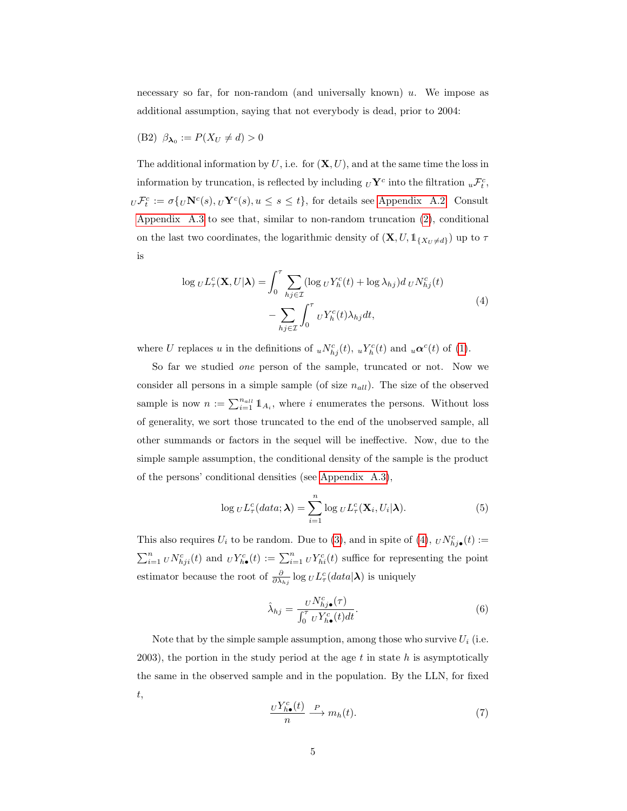necessary so far, for non-random (and universally known)  $u$ . We impose as additional assumption, saying that not everybody is dead, prior to 2004:

<span id="page-4-3"></span>(B2)  $\beta_{\lambda_0} := P(X_U \neq d) > 0$ 

The additional information by  $U$ , i.e. for  $(\mathbf{X}, U)$ , and at the same time the loss in information by truncation, is reflected by including  $_U\mathbf{Y}^c$  into the filtration  $_u\mathcal{F}_t^c$ ,  $U\mathcal{F}_t^c := \sigma\{U\mathbf{N}^c(s), U\mathbf{Y}^c(s), u \leq s \leq t\}$ , for details see [Appendix A.2.](#page-17-0) Consult [Appendix A.3](#page-19-0) to see that, similar to non-random truncation [\(2\)](#page-3-0), conditional on the last two coordinates, the logarithmic density of  $(\mathbf{X}, U, \mathbb{1}_{\{X_U \neq d\}})$  up to  $\tau$ is

<span id="page-4-0"></span>
$$
\log_{U} L_{\tau}^{c}(\mathbf{X}, U | \boldsymbol{\lambda}) = \int_{0}^{\tau} \sum_{h_{j} \in \mathcal{I}} (\log_{U} Y_{h}^{c}(t) + \log \lambda_{h_{j}}) d_{U} N_{h_{j}}^{c}(t)
$$

$$
- \sum_{h_{j} \in \mathcal{I}} \int_{0}^{\tau} U Y_{h}^{c}(t) \lambda_{h_{j}} dt,
$$
(4)

where U replaces u in the definitions of  $_u N_{hj}^c(t)$ ,  $_u Y_h^c(t)$  and  $_u \alpha^c(t)$  of [\(1\)](#page-3-1).

So far we studied one person of the sample, truncated or not. Now we consider all persons in a simple sample (of size  $n_{all}$ ). The size of the observed sample is now  $n := \sum_{i=1}^{n_{all}} 1\!\!1_{A_i}$ , where i enumerates the persons. Without loss of generality, we sort those truncated to the end of the unobserved sample, all other summands or factors in the sequel will be ineffective. Now, due to the simple sample assumption, the conditional density of the sample is the product of the persons' conditional densities (see [Appendix A.3\)](#page-19-0),

<span id="page-4-4"></span>
$$
\log_{U} L_{\tau}^{c}(data; \lambda) = \sum_{i=1}^{n} \log_{U} L_{\tau}^{c}(\mathbf{X}_{i}, U_{i} | \lambda).
$$
 (5)

This also requires  $U_i$  to be random. Due to [\(3\)](#page-3-2), and in spite of [\(4\)](#page-4-0),  $_U N^c_{hj\bullet}(t) :=$  $\sum_{i=1}^n u N_{hji}^c(t)$  and  $u Y_{h\bullet}^c(t) := \sum_{i=1}^n u Y_{hi}^c(t)$  suffice for representing the point estimator because the root of  $\frac{\partial}{\partial \lambda_{hj}} \log_U L^c_\tau(data|\lambda)$  is uniquely

<span id="page-4-1"></span>
$$
\hat{\lambda}_{hj} = \frac{U N_{hj\bullet}^c(\tau)}{\int_0^{\tau} U Y_{h\bullet}^c(t) dt}.
$$
\n(6)

Note that by the simple sample assumption, among those who survive  $U_i$  (i.e. 2003), the portion in the study period at the age  $t$  in state  $h$  is asymptotically the same in the observed sample and in the population. By the LLN, for fixed t,

<span id="page-4-2"></span>
$$
\frac{U Y_{h\bullet}^c(t)}{n} \xrightarrow{P} m_h(t). \tag{7}
$$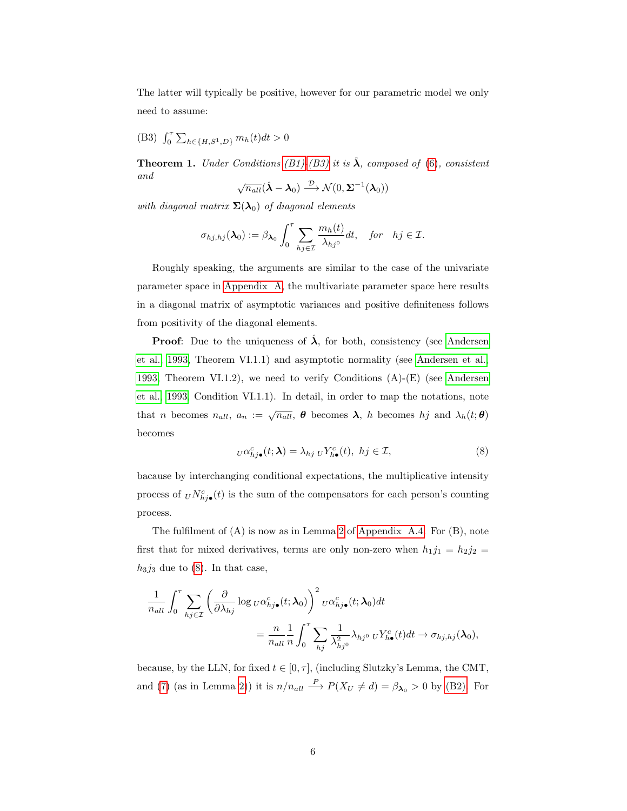The latter will typically be positive, however for our parametric model we only need to assume:

<span id="page-5-0"></span>(B3)  $\int_0^{\tau} \sum_{h \in \{H, S^1, D\}} m_h(t) dt > 0$ 

<span id="page-5-2"></span>**Theorem 1.** Under Conditions [\(B1\)](#page-1-0)[-\(B3\)](#page-5-0) it is  $\hat{\lambda}$ , composed of [\(6\)](#page-4-1), consistent and √

$$
\sqrt{n_{all}}(\hat{\boldsymbol{\lambda}} - \boldsymbol{\lambda}_0) \stackrel{\mathcal{D}}{\longrightarrow} \mathcal{N}(0, \boldsymbol{\Sigma}^{-1}(\boldsymbol{\lambda}_0))
$$

with diagonal matrix  $\Sigma(\lambda_0)$  of diagonal elements

$$
\sigma_{hj,hj}(\lambda_0) := \beta_{\lambda_0} \int_0^{\tau} \sum_{hj \in \mathcal{I}} \frac{m_h(t)}{\lambda_{hj^0}} dt, \quad \text{for} \quad hj \in \mathcal{I}.
$$

Roughly speaking, the arguments are similar to the case of the univariate parameter space in [Appendix A,](#page-16-0) the multivariate parameter space here results in a diagonal matrix of asymptotic variances and positive definiteness follows from positivity of the diagonal elements.

**Proof:** Due to the uniqueness of  $\lambda$ , for both, consistency (see [Andersen](#page-15-4) [et al., 1993,](#page-15-4) Theorem VI.1.1) and asymptotic normality (see [Andersen et al.,](#page-15-4) [1993,](#page-15-4) Theorem VI.1.2), we need to verify Conditions  $(A)$ - $(E)$  (see [Andersen](#page-15-4) [et al., 1993,](#page-15-4) Condition VI.1.1). In detail, in order to map the notations, note that *n* becomes  $n_{all}$ ,  $a_n := \sqrt{n_{all}}$ ,  $\theta$  becomes  $\lambda$ , *h* becomes *hj* and  $\lambda_h(t;\theta)$ becomes

<span id="page-5-1"></span>
$$
U\alpha_{hj\bullet}^c(t;\lambda) = \lambda_{hj} U Y_{h\bullet}^c(t), \ hj \in \mathcal{I},\tag{8}
$$

bacause by interchanging conditional expectations, the multiplicative intensity process of  $U N^c_{hj\bullet}(t)$  is the sum of the compensators for each person's counting process.

The fulfilment of (A) is now as in Lemma [2](#page-22-0) of [Appendix A.4.](#page-21-0) For (B), note first that for mixed derivatives, terms are only non-zero when  $h_1j_1 = h_2j_2 =$  $h_3j_3$  due to [\(8\)](#page-5-1). In that case,

$$
\frac{1}{n_{all}} \int_0^{\tau} \sum_{h_j \in \mathcal{I}} \left( \frac{\partial}{\partial \lambda_{hj}} \log_{U} \alpha_{hj\bullet}^c(t; \boldsymbol{\lambda}_0) \right)^2 U \alpha_{hj\bullet}^c(t; \boldsymbol{\lambda}_0) dt
$$

$$
= \frac{n}{n_{all}} \frac{1}{n} \int_0^{\tau} \sum_{h_j} \frac{1}{\lambda_{hj^0}^2} \lambda_{hj^0} U Y_{h\bullet}^c(t) dt \to \sigma_{hj,hj}(\boldsymbol{\lambda}_0),
$$

because, by the LLN, for fixed  $t \in [0, \tau]$ , (including Slutzky's Lemma, the CMT, and [\(7\)](#page-4-2) (as in Lemma [2\)](#page-22-0)) it is  $n/n_{all} \stackrel{P}{\longrightarrow} P(X_U \neq d) = \beta_{\lambda_0} > 0$  by [\(B2\).](#page-4-3) For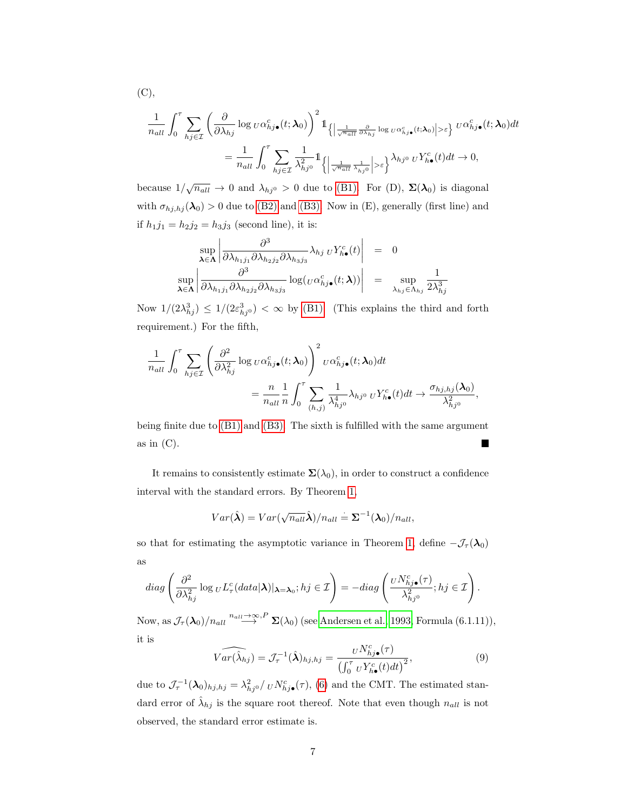$$
\frac{1}{n_{all}} \int_0^{\tau} \sum_{h_j \in \mathcal{I}} \left( \frac{\partial}{\partial \lambda_{hj}} \log_{U} \alpha_{hj\bullet}^c(t; \lambda_0) \right)^2 \mathbb{1}_{\left\{ \left| \frac{1}{\sqrt{n_{all}}} \frac{\partial}{\partial \lambda_{hj}} \log_{U} \alpha_{hj\bullet}^c(t; \lambda_0) \right| > \varepsilon \right\}} U^{\alpha_{hj\bullet}^c}(t; \lambda_0) dt
$$
\n
$$
= \frac{1}{n_{all}} \int_0^{\tau} \sum_{h_j \in \mathcal{I}} \frac{1}{\lambda_{hj^0}^2} \mathbb{1}_{\left\{ \left| \frac{1}{\sqrt{n_{all}}} \frac{1}{\lambda_{hj^0}} \right| > \varepsilon \right\}} \lambda_{hj^0} U Y_{h\bullet}^c(t) dt \to 0,
$$

because  $1/\sqrt{n_{all}} \to 0$  and  $\lambda_{hj^0} > 0$  due to [\(B1\).](#page-1-0) For (D),  $\Sigma(\lambda_0)$  is diagonal with  $\sigma_{hj,hj}(\lambda_0) > 0$  due to [\(B2\)](#page-4-3) and [\(B3\).](#page-5-0) Now in (E), generally (first line) and if  $h_1 j_1 = h_2 j_2 = h_3 j_3$  (second line), it is:

$$
\sup_{\lambda \in \Lambda} \left| \frac{\partial^3}{\partial \lambda_{h_1 j_1} \partial \lambda_{h_2 j_2} \partial \lambda_{h_3 j_3}} \lambda_{hj U} Y_{h\bullet}^c(t) \right| = 0
$$
  

$$
\sup_{\lambda \in \Lambda} \left| \frac{\partial^3}{\partial \lambda_{h_1 j_1} \partial \lambda_{h_2 j_2} \partial \lambda_{h_3 j_3}} \log(\nu \alpha_{hj\bullet}^c(t; \lambda)) \right| = \sup_{\lambda_{hj} \in \Lambda_{hj}} \frac{1}{2\lambda_{hj}^3}
$$

Now  $1/(2\lambda_{hj}^3) \leq 1/(2\varepsilon_{hj0}^3) < \infty$  by [\(B1\).](#page-1-0) (This explains the third and forth requirement.) For the fifth,

$$
\frac{1}{n_{all}} \int_0^{\tau} \sum_{h_j \in \mathcal{I}} \left( \frac{\partial^2}{\partial \lambda_{hj}^2} \log_{U} \alpha_{hj\bullet}^c(t; \lambda_0) \right)^2 U^{\alpha}_{hj\bullet}(t; \lambda_0) dt
$$

$$
= \frac{n}{n_{all}} \frac{1}{n} \int_0^{\tau} \sum_{(h,j)} \frac{1}{\lambda_{hj^0}^4} \lambda_{hj^0} U Y_{h\bullet}^c(t) dt \rightarrow \frac{\sigma_{hj,hj}(\lambda_0)}{\lambda_{hj^0}^2},
$$

being finite due to [\(B1\)](#page-1-0) and [\(B3\).](#page-5-0) The sixth is fulfilled with the same argument as in  $(C)$ . Ξ

It remains to consistently estimate  $\Sigma(\lambda_0)$ , in order to construct a confidence interval with the standard errors. By Theorem [1,](#page-5-2)

$$
Var(\hat{\boldsymbol{\lambda}}) = Var(\sqrt{n_{all}}\hat{\boldsymbol{\lambda}})/n_{all} \doteq \boldsymbol{\Sigma}^{-1}(\boldsymbol{\lambda}_0)/n_{all},
$$

so that for estimating the asymptotic variance in Theorem [1,](#page-5-2) define  $-\mathcal{J}_{\tau}(\lambda_0)$ as

$$
diag\left(\frac{\partial^2}{\partial \lambda_{hj}^2}\log_{U}L_{\tau}^c(data|\boldsymbol{\lambda})|_{\boldsymbol{\lambda}=\boldsymbol{\lambda}_0}; hj\in\mathcal{I}\right)=-diag\left(\frac{{}_U N_{hj\bullet}^c(\tau)}{\lambda_{hj^0}^2}; hj\in\mathcal{I}\right).
$$

Now, as  $\mathcal{J}_{\tau}(\lambda_0)/n_{all} \stackrel{n_{all} \to \infty, P}{\longrightarrow} \Sigma(\lambda_0)$  (see [Andersen et al., 1993,](#page-15-4) Formula (6.1.11)), it is

<span id="page-6-0"></span>
$$
\widehat{Var(\hat{\lambda}_{hj})} = \mathcal{J}_{\tau}^{-1}(\hat{\boldsymbol{\lambda}})_{hj,hj} = \frac{\nu N_{hj\bullet}^c(\tau)}{\left(\int_0^{\tau} \nu Y_{h\bullet}^c(t)dt\right)^2},\tag{9}
$$

due to  $\mathcal{J}_{\tau}^{-1}(\lambda_0)_{hj,hj} = \lambda_{hj0}^2 / U N_{hj\bullet}^c(\tau)$ , [\(6\)](#page-4-1) and the CMT. The estimated standard error of  $\hat{\lambda}_{hj}$  is the square root thereof. Note that even though  $n_{all}$  is not observed, the standard error estimate is.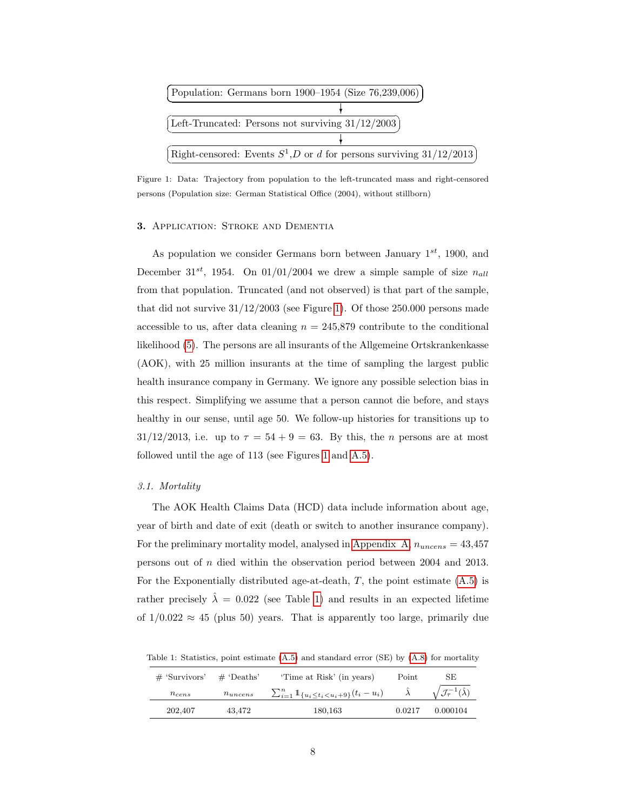

<span id="page-7-0"></span>Figure 1: Data: Trajectory from population to the left-truncated mass and right-censored persons (Population size: German Statistical Office (2004), without stillborn)

# 3. APPLICATION: STROKE AND DEMENTIA

As population we consider Germans born between January  $1^{st}$ , 1900, and December 31<sup>st</sup>, 1954. On 01/01/2004 we drew a simple sample of size  $n_{all}$ from that population. Truncated (and not observed) is that part of the sample, that did not survive  $31/12/2003$  (see Figure [1\)](#page-7-0). Of those  $250.000$  persons made accessible to us, after data cleaning  $n = 245,879$  contribute to the conditional likelihood [\(5\)](#page-4-4). The persons are all insurants of the Allgemeine Ortskrankenkasse (AOK), with 25 million insurants at the time of sampling the largest public health insurance company in Germany. We ignore any possible selection bias in this respect. Simplifying we assume that a person cannot die before, and stays healthy in our sense, until age 50. We follow-up histories for transitions up to  $31/12/2013$ , i.e. up to  $\tau = 54 + 9 = 63$ . By this, the *n* persons are at most followed until the age of 113 (see Figures [1](#page-7-0) and [A.5\)](#page-17-1).

## 3.1. Mortality

The AOK Health Claims Data (HCD) data include information about age, year of birth and date of exit (death or switch to another insurance company). For the preliminary mortality model, analysed in [Appendix A,](#page-16-0)  $n_{uncens} = 43,457$ persons out of n died within the observation period between 2004 and 2013. For the Exponentially distributed age-at-death,  $T$ , the point estimate  $(A.5)$  is rather precisely  $\hat{\lambda} = 0.022$  (see Table [1\)](#page-7-1) and results in an expected lifetime of  $1/0.022 \approx 45$  (plus 50) years. That is apparently too large, primarily due

<span id="page-7-1"></span>Table 1: Statistics, point estimate [\(A.5\)](#page-21-1) and standard error (SE) by [\(A.8\)](#page-23-0) for mortality

| $#$ 'Survivors' | $\#$ 'Deaths' | 'Time at Risk' (in years)                                         | Point  | SE                                            |  |  |
|-----------------|---------------|-------------------------------------------------------------------|--------|-----------------------------------------------|--|--|
| $n_{cens}$      | $n_{uncens}$  | $\sum_{i=1}^n \mathbb{1}_{\{u_i \leq t_i < u_i + 9\}}(t_i - u_i)$ |        | $\sqrt{\mathcal{J}_\tau^{-1}(\hat{\lambda})}$ |  |  |
| 202,407         | 43.472        | 180,163                                                           | 0.0217 | 0.000104                                      |  |  |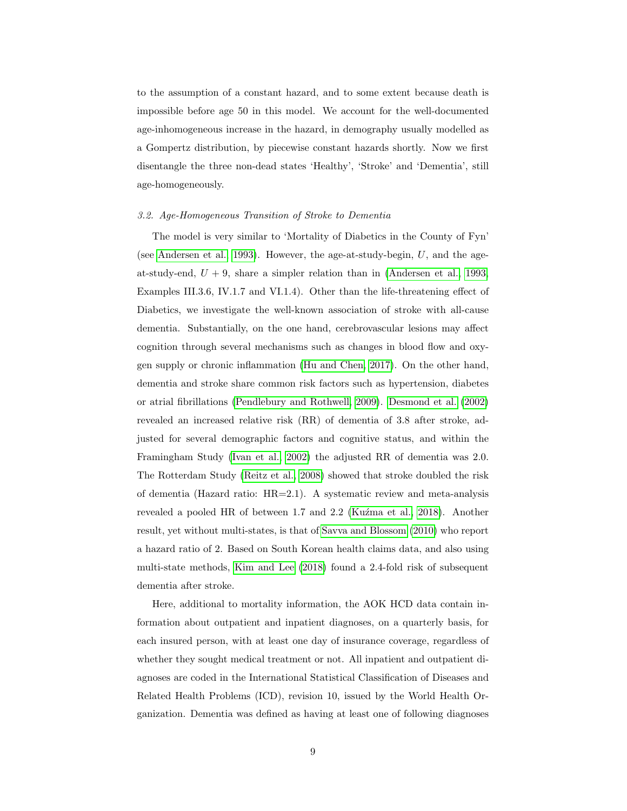to the assumption of a constant hazard, and to some extent because death is impossible before age 50 in this model. We account for the well-documented age-inhomogeneous increase in the hazard, in demography usually modelled as a Gompertz distribution, by piecewise constant hazards shortly. Now we first disentangle the three non-dead states 'Healthy', 'Stroke' and 'Dementia', still age-homogeneously.

# <span id="page-8-0"></span>3.2. Age-Homogeneous Transition of Stroke to Dementia

The model is very similar to 'Mortality of Diabetics in the County of Fyn' (see [Andersen et al., 1993\)](#page-15-4). However, the age-at-study-begin, U, and the ageat-study-end,  $U + 9$ , share a simpler relation than in [\(Andersen et al., 1993,](#page-15-4) Examples III.3.6, IV.1.7 and VI.1.4). Other than the life-threatening effect of Diabetics, we investigate the well-known association of stroke with all-cause dementia. Substantially, on the one hand, cerebrovascular lesions may affect cognition through several mechanisms such as changes in blood flow and oxygen supply or chronic inflammation [\(Hu and Chen, 2017\)](#page-15-5). On the other hand, dementia and stroke share common risk factors such as hypertension, diabetes or atrial fibrillations [\(Pendlebury and Rothwell, 2009\)](#page-16-3). [Desmond et al.](#page-15-6) [\(2002\)](#page-15-6) revealed an increased relative risk (RR) of dementia of 3.8 after stroke, adjusted for several demographic factors and cognitive status, and within the Framingham Study [\(Ivan et al., 2002\)](#page-15-7) the adjusted RR of dementia was 2.0. The Rotterdam Study [\(Reitz et al., 2008\)](#page-16-4) showed that stroke doubled the risk of dementia (Hazard ratio:  $HR=2.1$ ). A systematic review and meta-analysis revealed a pooled HR of between 1.7 and 2.2 (Kuźma et al., 2018). Another result, yet without multi-states, is that of [Savva and Blossom](#page-16-6) [\(2010\)](#page-16-6) who report a hazard ratio of 2. Based on South Korean health claims data, and also using multi-state methods, [Kim and Lee](#page-15-1) [\(2018\)](#page-15-1) found a 2.4-fold risk of subsequent dementia after stroke.

Here, additional to mortality information, the AOK HCD data contain information about outpatient and inpatient diagnoses, on a quarterly basis, for each insured person, with at least one day of insurance coverage, regardless of whether they sought medical treatment or not. All inpatient and outpatient diagnoses are coded in the International Statistical Classification of Diseases and Related Health Problems (ICD), revision 10, issued by the World Health Organization. Dementia was defined as having at least one of following diagnoses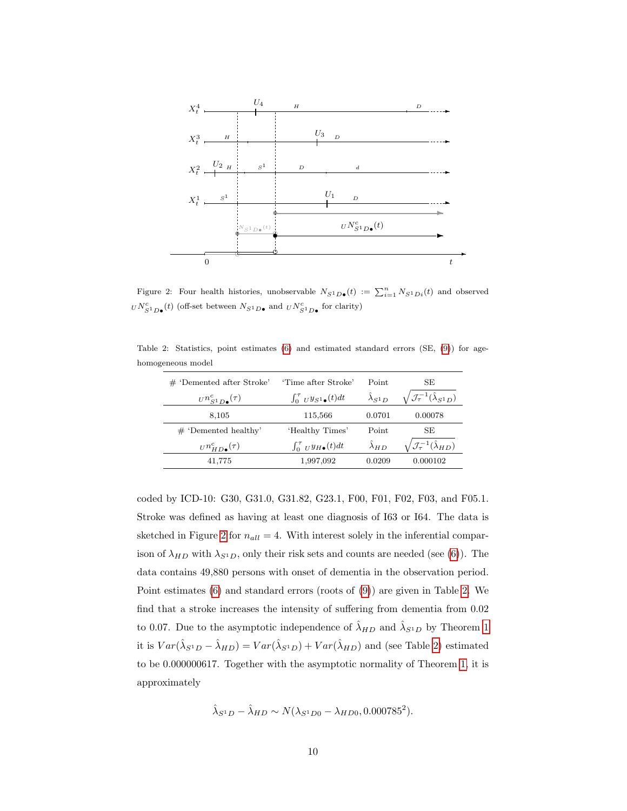

<span id="page-9-0"></span>Figure 2: Four health histories, unobservable  $N_{S^1D}\bullet(t) := \sum_{i=1}^n N_{S^1Di}(t)$  and observed  $U N_{S^1 D\bullet}^c(t)$  (off-set between  $N_{S^1 D\bullet}$  and  $U N_{S^1 D\bullet}^c$  for clarity)

Table 2: Statistics, point estimates [\(6\)](#page-4-1) and estimated standard errors (SE, [\(9\)](#page-6-0)) for agehomogeneous model

<span id="page-9-1"></span>

| $#$ 'Demented after Stroke'           | 'Time after Stroke'               | Point            | SE                                                 |  |  |
|---------------------------------------|-----------------------------------|------------------|----------------------------------------------------|--|--|
| $U_n^c$ <sub>S1</sub> $_D$ ( $\tau$ ) | $\int_0^t U y_{S^1\bullet}(t) dt$ | $\lambda_{S^1D}$ | $\mathcal{J}_{\tau}^{-1}(\hat{\lambda}_{S^1D})$    |  |  |
| 8,105                                 | 115,566                           | 0.0701           | 0.00078                                            |  |  |
| $\#$ 'Demented healthy'               | 'Healthy Times'                   | Point            | SE                                                 |  |  |
| $U_n^c_{HD\bullet}(\tau)$             | $\int_0^t U y_H(0) dt$            | $\lambda_{HD}$   | $\sqrt{\mathcal{J}_\tau^{-1}(\hat{\lambda}_{HD})}$ |  |  |
| 41,775                                | 1,997,092                         | 0.0209           | 0.000102                                           |  |  |

coded by ICD-10: G30, G31.0, G31.82, G23.1, F00, F01, F02, F03, and F05.1. Stroke was defined as having at least one diagnosis of I63 or I64. The data is sketched in Figure [2](#page-9-0) for  $n_{all} = 4$ . With interest solely in the inferential comparison of  $\lambda_{HD}$  with  $\lambda_{S^1D}$ , only their risk sets and counts are needed (see [\(6\)](#page-4-1)). The data contains 49,880 persons with onset of dementia in the observation period. Point estimates [\(6\)](#page-4-1) and standard errors (roots of [\(9\)](#page-6-0)) are given in Table [2.](#page-9-1) We find that a stroke increases the intensity of suffering from dementia from 0.02 to 0.07. Due to the asymptotic independence of  $\hat{\lambda}_{HD}$  and  $\hat{\lambda}_{S^1D}$  by Theorem [1](#page-5-2) it is  $Var(\hat{\lambda}_{S^1D} - \hat{\lambda}_{HD}) = Var(\hat{\lambda}_{S^1D}) + Var(\hat{\lambda}_{HD})$  and (see Table [2\)](#page-9-1) estimated to be 0.000000617. Together with the asymptotic normality of Theorem [1,](#page-5-2) it is approximately

$$
\hat{\lambda}_{S^{1}D} - \hat{\lambda}_{HD} \sim N(\lambda_{S^{1}D0} - \lambda_{HD0}, 0.000785^{2}).
$$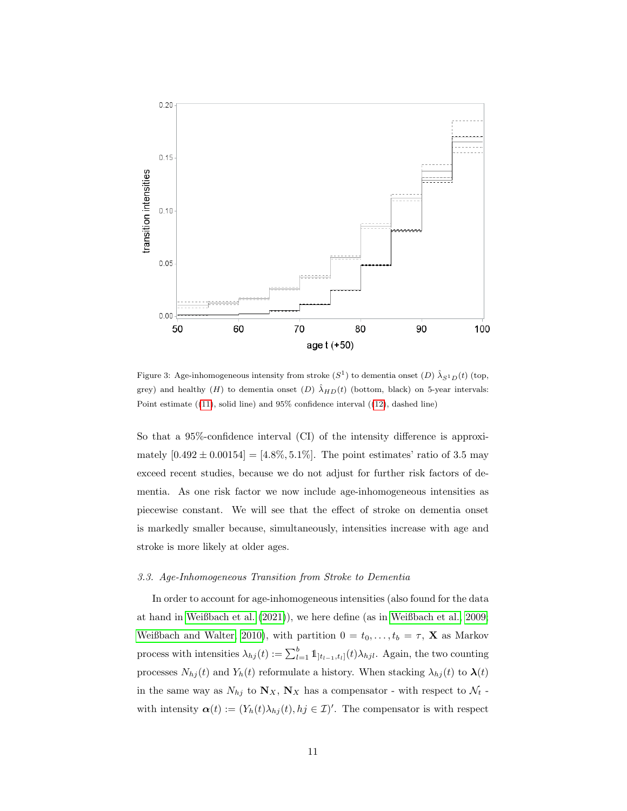

<span id="page-10-1"></span>Figure 3: Age-inhomogeneous intensity from stroke  $(S^1)$  to dementia onset  $(D)$   $\hat{\lambda}_{S^1D}(t)$  (top, grey) and healthy (H) to dementia onset (D)  $\hat{\lambda}_{HD}(t)$  (bottom, black) on 5-year intervals: Point estimate  $((11)$  $((11)$ , solid line) and  $95\%$  confidence interval  $((12)$  $((12)$ , dashed line)

So that a 95%-confidence interval (CI) of the intensity difference is approximately  $[0.492 \pm 0.00154] = [4.8\%, 5.1\%]$ . The point estimates' ratio of 3.5 may exceed recent studies, because we do not adjust for further risk factors of dementia. As one risk factor we now include age-inhomogeneous intensities as piecewise constant. We will see that the effect of stroke on dementia onset is markedly smaller because, simultaneously, intensities increase with age and stroke is more likely at older ages.

#### <span id="page-10-0"></span>3.3. Age-Inhomogeneous Transition from Stroke to Dementia

In order to account for age-inhomogeneous intensities (also found for the data at hand in [Weißbach et al.](#page-16-7) [\(2021\)](#page-16-7)), we here define (as in [Weißbach et al., 2009;](#page-16-2) [Weißbach and Walter, 2010\)](#page-16-8), with partition  $0 = t_0, \ldots, t_b = \tau$ , **X** as Markov process with intensities  $\lambda_{hj}(t) := \sum_{l=1}^{b} 1\mathbb{1}_{[t_{l-1},t_l]}(t) \lambda_{hjl}$ . Again, the two counting processes  $N_{hj}(t)$  and  $Y_h(t)$  reformulate a history. When stacking  $\lambda_{hj}(t)$  to  $\pmb{\lambda}(t)$ in the same way as  $N_{hj}$  to  $\mathbf{N}_X$ ,  $\mathbf{N}_X$  has a compensator - with respect to  $\mathcal{N}_t$  with intensity  $\alpha(t) := (Y_h(t)\lambda_{hj}(t), hj \in \mathcal{I})'$ . The compensator is with respect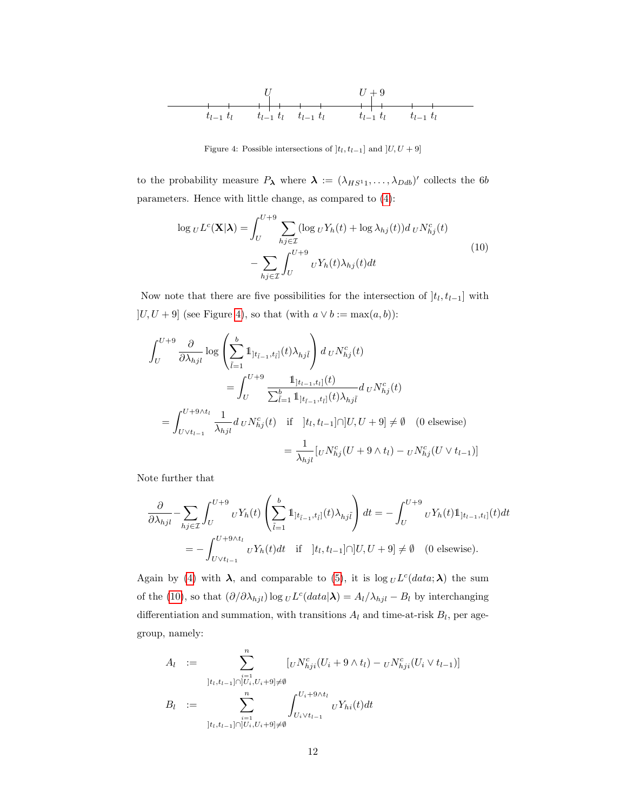

<span id="page-11-0"></span>Figure 4: Possible intersections of  $]t_l, t_{l-1}]$  and  $]U, U + 9]$ 

to the probability measure  $P_{\lambda}$  where  $\lambda := (\lambda_{HS^1}, \ldots, \lambda_{Ddb})'$  collects the 6b parameters. Hence with little change, as compared to [\(4\)](#page-4-0):

<span id="page-11-1"></span>
$$
\log_{U} L^{c}(\mathbf{X}|\boldsymbol{\lambda}) = \int_{U}^{U+9} \sum_{hj \in \mathcal{I}} (\log_{U} Y_{h}(t) + \log \lambda_{hj}(t)) d_{U} N_{hj}^{c}(t)
$$

$$
- \sum_{hj \in \mathcal{I}} \int_{U}^{U+9} {}_{U} Y_{h}(t) \lambda_{hj}(t) dt
$$
(10)

Now note that there are five possibilities for the intersection of  $]t_l, t_{l-1}]$  with  $\left]U, U + 9\right]$  (see Figure [4\)](#page-11-0), so that (with  $a \vee b := \max(a, b))$  :

$$
\int_{U}^{U+9} \frac{\partial}{\partial \lambda_{hjl}} \log \left( \sum_{\tilde{l}=1}^{b} 1 \mathbb{1}_{[t_{\tilde{l}-1}, t_{\tilde{l}}]}(t) \lambda_{hj\tilde{l}} \right) d \, U N_{hj}^{c}(t)
$$
\n
$$
= \int_{U}^{U+9} \frac{1 \mathbb{1}_{[t_{l-1}, t_{\tilde{l}}]}(t)}{\sum_{\tilde{l}=1}^{b} 1 \mathbb{1}_{[t_{l-1}, t_{\tilde{l}}]}(t) \lambda_{hj\tilde{l}}} d \, U N_{hj}^{c}(t)
$$
\n
$$
= \int_{U \vee t_{l-1}}^{U+9 \wedge t_{l}} \frac{1}{\lambda_{hjl}} d \, U N_{hj}^{c}(t) \quad \text{if} \quad ]t_{l}, t_{l-1}] \cap ]U, U+9] \neq \emptyset \quad (0 \text{ elsewhere})
$$
\n
$$
= \frac{1}{\lambda_{hjl}} [U N_{hj}^{c}(U+9 \wedge t_{l}) - U N_{hj}^{c}(U \vee t_{l-1})]
$$

Note further that

$$
\frac{\partial}{\partial \lambda_{hjl}} - \sum_{hj \in \mathcal{I}} \int_{U}^{U+9} u Y_h(t) \left( \sum_{\tilde{l}=1}^{b} 1_{]t_{\tilde{l}-1}, t_{\tilde{l}}|}(t) \lambda_{hjl} \right) dt = - \int_{U}^{U+9} u Y_h(t) 1_{]t_{l-1}, t_{l}]}(t) dt
$$
\n
$$
= - \int_{U \vee t_{l-1}}^{U+9 \wedge t_l} u Y_h(t) dt \quad \text{if} \quad ]t_l, t_{l-1}] \cap [U, U+9] \neq \emptyset \quad (0 \text{ elsewhere}).
$$

Again by [\(4\)](#page-4-0) with  $\lambda$ , and comparable to [\(5\)](#page-4-4), it is  $\log_{U} L^{c}(data; \lambda)$  the sum of the [\(10\)](#page-11-1), so that  $(\partial/\partial \lambda_{hjl}) \log_U L^c(data|\lambda) = A_l/\lambda_{hjl} - B_l$  by interchanging differentiation and summation, with transitions  $A_l$  and time-at-risk  $B_l$ , per agegroup, namely:

$$
A_{l} := \sum_{\substack{i=1 \ i t, t_{l-1} \cap [U_{i}, U_{i}+9] \neq \emptyset}}^{n} [U N_{hji}^{c}(U_{i} + 9 \wedge t_{l}) - U N_{hji}^{c}(U_{i} \vee t_{l-1})]
$$
  

$$
B_{l} := \sum_{\substack{i=1 \ i t, t_{l-1} \cap [U_{i}, U_{i}+9] \neq \emptyset}}^{n} \int_{U_{i} \vee t_{l-1}}^{U_{i}+9 \wedge t_{l}} U Y_{hi}(t) dt
$$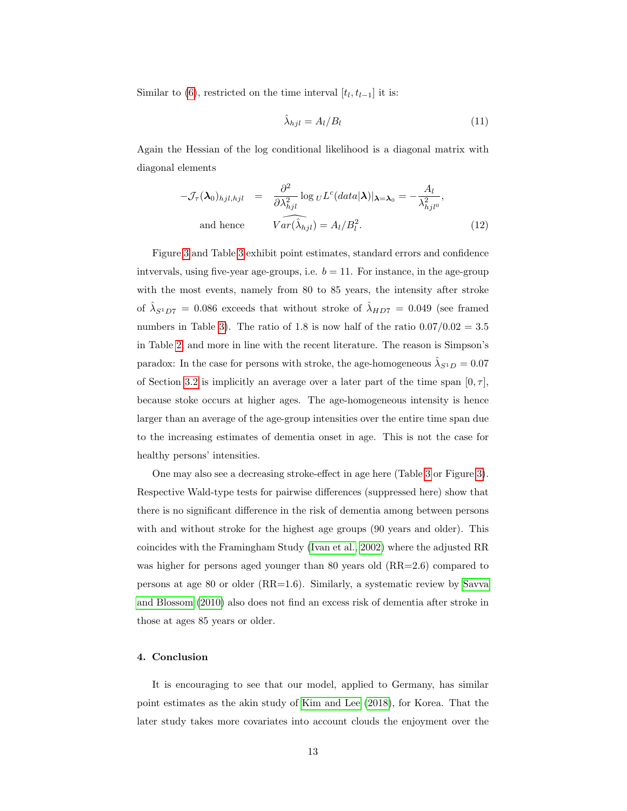Similar to  $(6)$ , restricted on the time interval  $[t_l, t_{l-1}]$  it is:

<span id="page-12-0"></span>
$$
\hat{\lambda}_{hjl} = A_l / B_l \tag{11}
$$

Again the Hessian of the log conditional likelihood is a diagonal matrix with diagonal elements

<span id="page-12-1"></span>
$$
-\mathcal{J}_{\tau}(\lambda_0)_{hjl,hjl} = \frac{\partial^2}{\partial \lambda_{hjl}^2} \log_{U} L^c (data|\lambda)|_{\lambda = \lambda_0} = -\frac{A_l}{\lambda_{hjl0}^2},
$$
  
and hence 
$$
Var(\widehat{\lambda}_{hjl}) = A_l/B_l^2.
$$
 (12)

Figure [3](#page-10-1) and Table [3](#page-13-0) exhibit point estimates, standard errors and confidence intvervals, using five-year age-groups, i.e.  $b = 11$ . For instance, in the age-group with the most events, namely from 80 to 85 years, the intensity after stroke of  $\hat{\lambda}_{S^1D7} = 0.086$  exceeds that without stroke of  $\hat{\lambda}_{HD7} = 0.049$  (see framed numbers in Table [3\)](#page-13-0). The ratio of 1.8 is now half of the ratio  $0.07/0.02 = 3.5$ in Table [2,](#page-9-1) and more in line with the recent literature. The reason is Simpson's paradox: In the case for persons with stroke, the age-homogeneous  $\hat{\lambda}_{S^1D} = 0.07$ of Section [3.2](#page-8-0) is implicitly an average over a later part of the time span  $[0, \tau]$ , because stoke occurs at higher ages. The age-homogeneous intensity is hence larger than an average of the age-group intensities over the entire time span due to the increasing estimates of dementia onset in age. This is not the case for healthy persons' intensities.

One may also see a decreasing stroke-effect in age here (Table [3](#page-13-0) or Figure [3\)](#page-10-1). Respective Wald-type tests for pairwise differences (suppressed here) show that there is no significant difference in the risk of dementia among between persons with and without stroke for the highest age groups (90 years and older). This coincides with the Framingham Study [\(Ivan et al., 2002\)](#page-15-7) where the adjusted RR was higher for persons aged younger than 80 years old  $(RR=2.6)$  compared to persons at age 80 or older (RR=1.6). Similarly, a systematic review by [Savva](#page-16-6) [and Blossom](#page-16-6) [\(2010\)](#page-16-6) also does not find an excess risk of dementia after stroke in those at ages 85 years or older.

# 4. Conclusion

It is encouraging to see that our model, applied to Germany, has similar point estimates as the akin study of [Kim and Lee](#page-15-1) [\(2018\)](#page-15-1), for Korea. That the later study takes more covariates into account clouds the enjoyment over the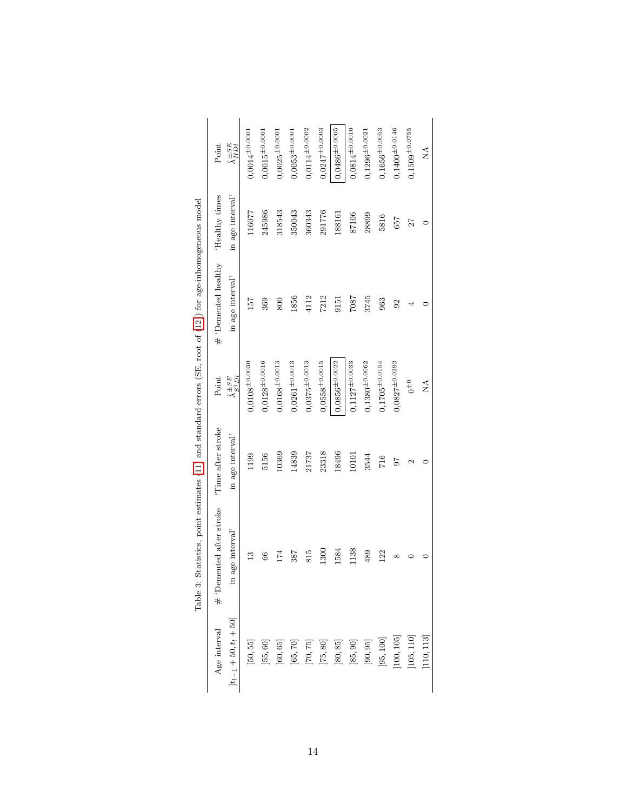<span id="page-13-0"></span>

|                                                                                                        | $\hat{\lambda}_{HDI}^{\pm SE}$<br>Point         | $0,0014^{\pm0.0001}$ | $0,0015^{\pm0.0001}$ | $0,0025^{\pm0.0001}$ | $0,0053^{\pm0.0001}$ | $0,0114^{\pm0.0002}$    | $0,0247^{\pm0.0003}$ | $0,0486^{\pm0.0005}$ | $0,0814^{\pm0.0010}$ | $0,1296^{\pm0.0021}$ | $0,1656^{\pm0.0053}$ | $0,1400^{\pm0.0146}$ | $0,1509^{\pm0.0755}$ | Ź          |
|--------------------------------------------------------------------------------------------------------|-------------------------------------------------|----------------------|----------------------|----------------------|----------------------|-------------------------|----------------------|----------------------|----------------------|----------------------|----------------------|----------------------|----------------------|------------|
|                                                                                                        | in age interval'<br>'Healthy times              | 116077               | 245986               | 318543               | 350043               | 360343                  | 291776               | 188161               | 87106                | 28899                | 5816                 | 657                  | 27                   |            |
| Statistics, point estimates (11) and standard errors (SE, root of $(12)$ ) for age-inhomogeneous model | # 'Demented healthy<br>in age interval'         | 157                  | 369                  | 800                  | 1856                 | 4112                    | 7212                 | 9151                 | 7807                 | 3745                 | 963                  | $\overline{6}$       |                      |            |
|                                                                                                        | $\hat{\lambda}^{\pm SE}_{S^1\,Dl}$<br>Point     | $0,0108^{\pm0.0030}$ | $0,0128^{\pm0.0016}$ | $0,0168^{\pm0.0013}$ | $0,0261^{\pm0.0013}$ | $0,0375^{\pm0.0013}$    | $0,0558^{\pm0.0015}$ | $0,0856^{\pm0.0022}$ | $0,1127^{\pm0.0033}$ | $0,1380^{\pm0.0062}$ | $0,1705^{\pm0.0154}$ | $0,0827^{\pm0.0292}$ | $0^{\pm 0}$          | ÁN         |
|                                                                                                        | Time after stroke<br>in age interval'           | 1199                 | 5156                 | 10369                | 14839                | 21737                   | 23318                | 18496                | 10101                | 3544                 | 716                  | 56                   | Z                    |            |
| Table 3:                                                                                               | # 'Demented after stroke<br>age interval'<br>요. | $\mathbf{r}$         | 66                   | 174                  | 387                  | 815                     | 1300                 | 1584                 | 1138                 | 489                  | 122                  | ∞                    |                      |            |
|                                                                                                        | $[t_{l-1} + 50, t_l + 50]$<br>Age interval      | [50, 55]             | [55, 60]             | [60, 65]             | [65, 70]             | $\left[ 70, 75 \right]$ | [75, 80]             | [80, 85]             | [85, 90]             | $\left]90,95\right]$ | [95, 100]            | [100, 105]           | [105, 110]           | [110, 113] |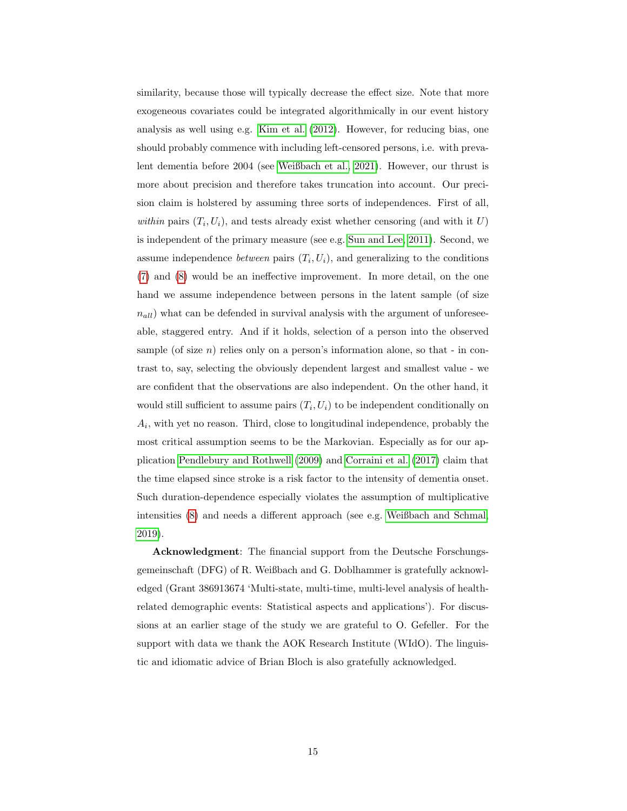similarity, because those will typically decrease the effect size. Note that more exogeneous covariates could be integrated algorithmically in our event history analysis as well using e.g. [Kim et al.](#page-15-8) [\(2012\)](#page-15-8). However, for reducing bias, one should probably commence with including left-censored persons, i.e. with prevalent dementia before 2004 (see [Weißbach et al., 2021\)](#page-16-7). However, our thrust is more about precision and therefore takes truncation into account. Our precision claim is holstered by assuming three sorts of independences. First of all, within pairs  $(T_i, U_i)$ , and tests already exist whether censoring (and with it U) is independent of the primary measure (see e.g. [Sun and Lee, 2011\)](#page-16-9). Second, we assume independence *between* pairs  $(T_i, U_i)$ , and generalizing to the conditions [\(7\)](#page-4-2) and [\(8\)](#page-5-1) would be an ineffective improvement. In more detail, on the one hand we assume independence between persons in the latent sample (of size  $n_{all}$ ) what can be defended in survival analysis with the argument of unforeseeable, staggered entry. And if it holds, selection of a person into the observed sample (of size  $n$ ) relies only on a person's information alone, so that - in contrast to, say, selecting the obviously dependent largest and smallest value - we are confident that the observations are also independent. On the other hand, it would still sufficient to assume pairs  $(T_i, U_i)$  to be independent conditionally on  $A_i$ , with yet no reason. Third, close to longitudinal independence, probably the most critical assumption seems to be the Markovian. Especially as for our application [Pendlebury and Rothwell](#page-16-3) [\(2009\)](#page-16-3) and [Corraini et al.](#page-15-9) [\(2017\)](#page-15-9) claim that the time elapsed since stroke is a risk factor to the intensity of dementia onset. Such duration-dependence especially violates the assumption of multiplicative intensities [\(8\)](#page-5-1) and needs a different approach (see e.g. [Weißbach and Schmal,](#page-16-10) [2019\)](#page-16-10).

Acknowledgment: The financial support from the Deutsche Forschungsgemeinschaft (DFG) of R. Weißbach and G. Doblhammer is gratefully acknowledged (Grant 386913674 'Multi-state, multi-time, multi-level analysis of healthrelated demographic events: Statistical aspects and applications'). For discussions at an earlier stage of the study we are grateful to O. Gefeller. For the support with data we thank the AOK Research Institute (WIdO). The linguistic and idiomatic advice of Brian Bloch is also gratefully acknowledged.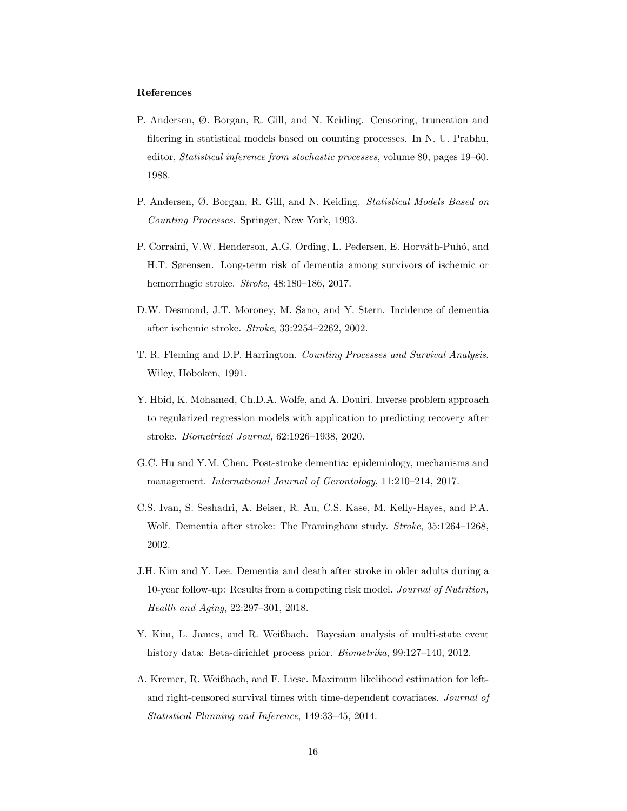# References

- <span id="page-15-2"></span>P. Andersen, Ø. Borgan, R. Gill, and N. Keiding. Censoring, truncation and filtering in statistical models based on counting processes. In N. U. Prabhu, editor, Statistical inference from stochastic processes, volume 80, pages 19–60. 1988.
- <span id="page-15-4"></span>P. Andersen, Ø. Borgan, R. Gill, and N. Keiding. Statistical Models Based on Counting Processes. Springer, New York, 1993.
- <span id="page-15-9"></span>P. Corraini, V.W. Henderson, A.G. Ording, L. Pedersen, E. Horváth-Puhó, and H.T. Sørensen. Long-term risk of dementia among survivors of ischemic or hemorrhagic stroke. Stroke, 48:180–186, 2017.
- <span id="page-15-6"></span>D.W. Desmond, J.T. Moroney, M. Sano, and Y. Stern. Incidence of dementia after ischemic stroke. Stroke, 33:2254–2262, 2002.
- <span id="page-15-3"></span>T. R. Fleming and D.P. Harrington. Counting Processes and Survival Analysis. Wiley, Hoboken, 1991.
- <span id="page-15-0"></span>Y. Hbid, K. Mohamed, Ch.D.A. Wolfe, and A. Douiri. Inverse problem approach to regularized regression models with application to predicting recovery after stroke. Biometrical Journal, 62:1926–1938, 2020.
- <span id="page-15-5"></span>G.C. Hu and Y.M. Chen. Post-stroke dementia: epidemiology, mechanisms and management. International Journal of Gerontology, 11:210–214, 2017.
- <span id="page-15-7"></span>C.S. Ivan, S. Seshadri, A. Beiser, R. Au, C.S. Kase, M. Kelly-Hayes, and P.A. Wolf. Dementia after stroke: The Framingham study. Stroke, 35:1264–1268, 2002.
- <span id="page-15-1"></span>J.H. Kim and Y. Lee. Dementia and death after stroke in older adults during a 10-year follow-up: Results from a competing risk model. Journal of Nutrition, Health and Aging, 22:297–301, 2018.
- <span id="page-15-8"></span>Y. Kim, L. James, and R. Weißbach. Bayesian analysis of multi-state event history data: Beta-dirichlet process prior. Biometrika, 99:127–140, 2012.
- <span id="page-15-10"></span>A. Kremer, R. Weißbach, and F. Liese. Maximum likelihood estimation for leftand right-censored survival times with time-dependent covariates. Journal of Statistical Planning and Inference, 149:33–45, 2014.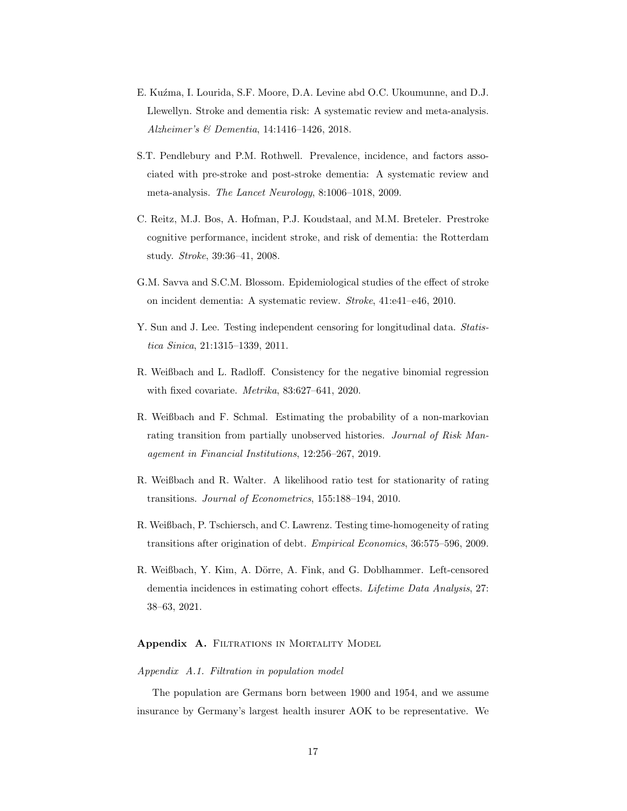- <span id="page-16-5"></span>E. Kuźma, I. Lourida, S.F. Moore, D.A. Levine abd O.C. Ukoumunne, and D.J. Llewellyn. Stroke and dementia risk: A systematic review and meta-analysis. Alzheimer's & Dementia, 14:1416–1426, 2018.
- <span id="page-16-3"></span>S.T. Pendlebury and P.M. Rothwell. Prevalence, incidence, and factors associated with pre-stroke and post-stroke dementia: A systematic review and meta-analysis. The Lancet Neurology, 8:1006–1018, 2009.
- <span id="page-16-4"></span>C. Reitz, M.J. Bos, A. Hofman, P.J. Koudstaal, and M.M. Breteler. Prestroke cognitive performance, incident stroke, and risk of dementia: the Rotterdam study. Stroke, 39:36–41, 2008.
- <span id="page-16-6"></span>G.M. Savva and S.C.M. Blossom. Epidemiological studies of the effect of stroke on incident dementia: A systematic review. Stroke, 41:e41–e46, 2010.
- <span id="page-16-9"></span>Y. Sun and J. Lee. Testing independent censoring for longitudinal data. Statistica Sinica, 21:1315–1339, 2011.
- <span id="page-16-11"></span>R. Weißbach and L. Radloff. Consistency for the negative binomial regression with fixed covariate. Metrika, 83:627–641, 2020.
- <span id="page-16-10"></span>R. Weißbach and F. Schmal. Estimating the probability of a non-markovian rating transition from partially unobserved histories. Journal of Risk Management in Financial Institutions, 12:256–267, 2019.
- <span id="page-16-8"></span>R. Weißbach and R. Walter. A likelihood ratio test for stationarity of rating transitions. Journal of Econometrics, 155:188–194, 2010.
- <span id="page-16-2"></span>R. Weißbach, P. Tschiersch, and C. Lawrenz. Testing time-homogeneity of rating transitions after origination of debt. Empirical Economics, 36:575–596, 2009.
- <span id="page-16-7"></span>R. Weißbach, Y. Kim, A. Dörre, A. Fink, and G. Doblhammer. Left-censored dementia incidences in estimating cohort effects. Lifetime Data Analysis, 27: 38–63, 2021.

# <span id="page-16-0"></span>Appendix A. FILTRATIONS IN MORTALITY MODEL

# <span id="page-16-1"></span>Appendix A.1. Filtration in population model

The population are Germans born between 1900 and 1954, and we assume insurance by Germany's largest health insurer AOK to be representative. We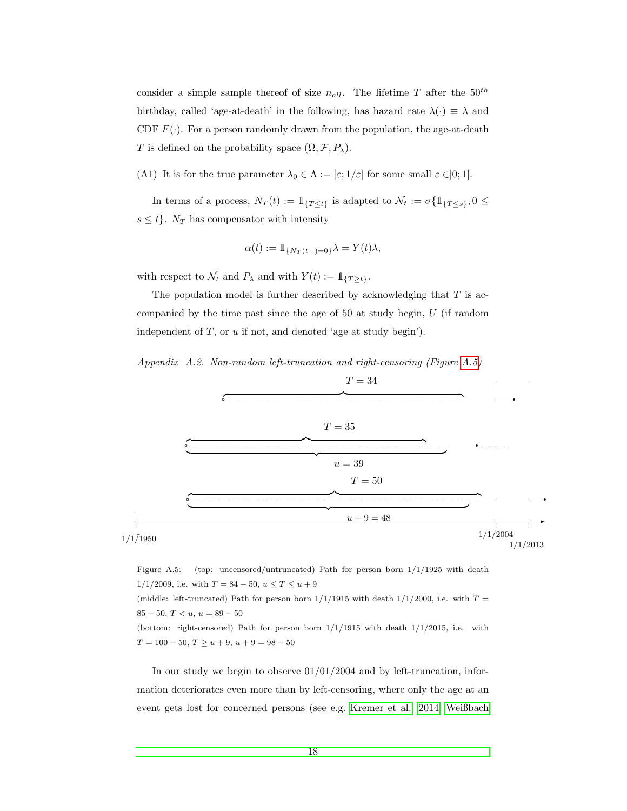consider a simple sample thereof of size  $n_{all}$ . The lifetime T after the  $50^{th}$ birthday, called 'age-at-death' in the following, has hazard rate  $\lambda(\cdot) \equiv \lambda$  and CDF  $F(\cdot)$ . For a person randomly drawn from the population, the age-at-death T is defined on the probability space  $(\Omega, \mathcal{F}, P_\lambda)$ .

<span id="page-17-2"></span>(A1) It is for the true parameter  $\lambda_0 \in \Lambda := [\varepsilon; 1/\varepsilon]$  for some small  $\varepsilon \in ]0;1[$ .

In terms of a process,  $N_T(t) := \mathbb{1}_{\{T \le t\}}$  is adapted to  $\mathcal{N}_t := \sigma\{\mathbb{1}_{\{T \le s\}}, 0 \le t\}$  $s \leq t$ .  $N_T$  has compensator with intensity

$$
\alpha(t) := \mathbb{1}_{\{N_T(t-)=0\}} \lambda = Y(t)\lambda,
$$

with respect to  $\mathcal{N}_t$  and  $P_\lambda$  and with  $Y(t) := \mathbb{1}_{\{T \geq t\}}$ .

The population model is further described by acknowledging that  $T$  is accompanied by the time past since the age of 50 at study begin,  $U$  (if random independent of  $T$ , or  $u$  if not, and denoted 'age at study begin').

<span id="page-17-0"></span>



<span id="page-17-1"></span>Figure A.5: (top: uncensored/untruncated) Path for person born 1/1/1925 with death  $1/1/2009$ , i.e. with  $T = 84 - 50$ ,  $u \le T \le u + 9$ (middle: left-truncated) Path for person born  $1/1/1915$  with death  $1/1/2000$ , i.e. with  $T =$  $85 - 50$ ,  $T < u$ ,  $u = 89 - 50$ (bottom: right-censored) Path for person born  $1/1/1915$  with death  $1/1/2015$ , i.e. with  $T = 100 - 50, T \ge u + 9, u + 9 = 98 - 50$ 

In our study we begin to observe  $01/01/2004$  and by left-truncation, information deteriorates even more than by left-censoring, where only the age at an event gets lost for concerned persons (see e.g. [Kremer et al., 2014;](#page-15-10) [Weißbach](#page-16-7)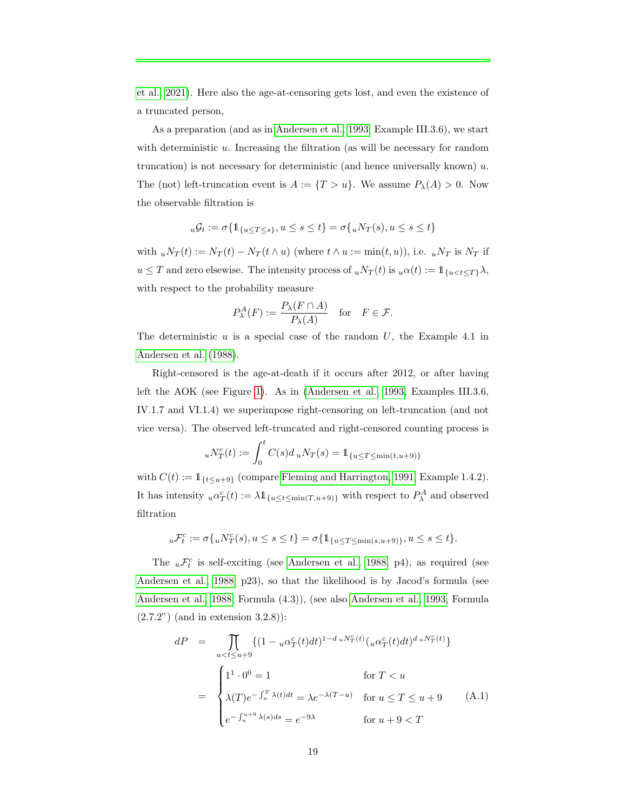[et al., 2021\)](#page-16-7). Here also the age-at-censoring gets lost, and even the existence of a truncated person,

As a preparation (and as in [Andersen et al., 1993,](#page-15-4) Example III.3.6), we start with deterministic u. Increasing the filtration (as will be necessary for random truncation) is not necessary for deterministic (and hence universally known)  $u$ . The (not) left-truncation event is  $A := \{T > u\}$ . We assume  $P_{\lambda}(A) > 0$ . Now the observable filtration is

$$
u\mathcal{G}_t := \sigma\{\mathbb{1}_{\{u \le T \le s\}}, u \le s \le t\} = \sigma\{uN_T(s), u \le s \le t\}
$$

with  $uN_T(t) := N_T(t) - N_T(t \wedge u)$  (where  $t \wedge u := \min(t, u)$ ), i.e.  $uN_T$  is  $N_T$  if  $u \leq T$  and zero elsewise. The intensity process of  $u N_T(t)$  is  $u \alpha(t) := \mathbb{1}_{\{u < t \leq T\}} \lambda$ , with respect to the probability measure

$$
P^A_\lambda(F) := \frac{P_\lambda(F \cap A)}{P_\lambda(A)} \quad \text{for} \quad F \in \mathcal{F}.
$$

The deterministic  $u$  is a special case of the random  $U$ , the Example 4.1 in [Andersen et al.](#page-15-2) [\(1988\)](#page-15-2).

Right-censored is the age-at-death if it occurs after 2012, or after having left the AOK (see Figure [1\)](#page-7-0). As in [\(Andersen et al., 1993,](#page-15-4) Examples III.3.6, IV.1.7 and VI.1.4) we superimpose right-censoring on left-truncation (and not vice versa). The observed left-truncated and right-censored counting process is

$$
{}_{u}N_{T}^{c}(t) := \int_{0}^{t} C(s)d u N_{T}(s) = \mathbb{1}_{\{u \le T \le \min(t, u+9)\}}
$$

with  $C(t) := \mathbb{1}_{\{t \le u+9\}}$  (compare [Fleming and Harrington, 1991,](#page-15-3) Example 1.4.2). It has intensity  $u\alpha_T^c(t) := \lambda \mathbb{1}_{\{u \le t \le \min(T, u+9)\}}$  with respect to  $P^A_\lambda$  and observed filtration

$$
{_u\mathcal{F}_t^c}:=\sigma\{{_uN_T^c(s)},u\leq s\leq t\}=\sigma\{\mathbb{1}_{\{u\leq T\leq \min(s,u+9)\}},u\leq s\leq t\}.
$$

The  $u\mathcal{F}_t^c$  is self-exciting (see [Andersen et al., 1988,](#page-15-2) p4), as required (see [Andersen et al., 1988,](#page-15-2) p23), so that the likelihood is by Jacod's formula (see [Andersen et al., 1988,](#page-15-2) Formula (4.3)), (see also [Andersen et al., 1993,](#page-15-4) Formula (2.7.2") (and in extension 3.2.8)):

$$
dP = \prod_{u < t \le u+9} \{ (1 - u\alpha_T^c(t)dt)^{1-d_u N_T^c(t)} (u\alpha_T^c(t)dt)^{d_u N_T^c(t)} \}
$$
  
\n
$$
= \begin{cases} 1^1 \cdot 0^0 = 1 & \text{for } T < u \\ \lambda(T) e^{-\int_u^T \lambda(t)dt} = \lambda e^{-\lambda(T-u)} & \text{for } u \le T \le u+9 \\ e^{-\int_u^{u+9} \lambda(s)ds} = e^{-9\lambda} & \text{for } u+9 < T \end{cases}
$$
(A.1)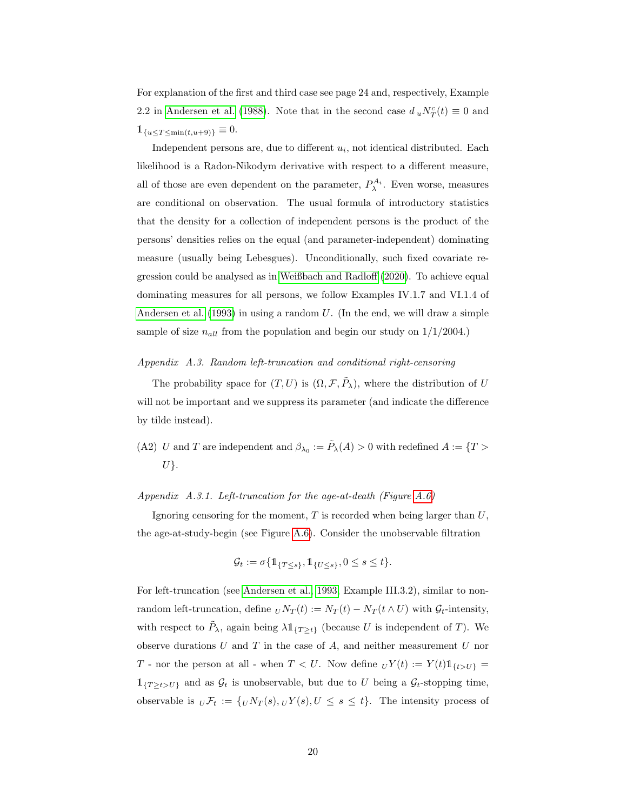For explanation of the first and third case see page 24 and, respectively, Example 2.2 in [Andersen et al.](#page-15-2) [\(1988\)](#page-15-2). Note that in the second case  $d_u N_T^c(t) \equiv 0$  and  $1_{\{u \leq T \leq \min(t, u+9)\}} \equiv 0.$ 

Independent persons are, due to different  $u_i$ , not identical distributed. Each likelihood is a Radon-Nikodym derivative with respect to a different measure, all of those are even dependent on the parameter,  $P_{\lambda}^{A_i}$ . Even worse, measures are conditional on observation. The usual formula of introductory statistics that the density for a collection of independent persons is the product of the persons' densities relies on the equal (and parameter-independent) dominating measure (usually being Lebesgues). Unconditionally, such fixed covariate regression could be analysed as in [Weißbach and Radloff](#page-16-11) [\(2020\)](#page-16-11). To achieve equal dominating measures for all persons, we follow Examples IV.1.7 and VI.1.4 of [Andersen et al.](#page-15-4)  $(1993)$  in using a random U. (In the end, we will draw a simple sample of size  $n_{all}$  from the population and begin our study on  $1/1/2004$ .)

# <span id="page-19-0"></span>Appendix A.3. Random left-truncation and conditional right-censoring

The probability space for  $(T, U)$  is  $(\Omega, \mathcal{F}, \tilde{P}_{\lambda})$ , where the distribution of U will not be important and we suppress its parameter (and indicate the difference by tilde instead).

(A2) U and T are independent and  $\beta_{\lambda_0} := \tilde{P}_{\lambda}(A) > 0$  with redefined  $A := \{T >$  $U$ .

## Appendix A.3.1. Left-truncation for the age-at-death (Figure [A.6\)](#page-20-1)

Ignoring censoring for the moment,  $T$  is recorded when being larger than  $U$ , the age-at-study-begin (see Figure [A.6\)](#page-20-1). Consider the unobservable filtration

$$
\mathcal{G}_t := \sigma \{ \mathbb{1}_{\{T \le s\}}, \mathbb{1}_{\{U \le s\}}, 0 \le s \le t \}.
$$

For left-truncation (see [Andersen et al., 1993,](#page-15-4) Example III.3.2), similar to nonrandom left-truncation, define  $U N_T(t) := N_T(t) - N_T(t \wedge U)$  with  $\mathcal{G}_t$ -intensity, with respect to  $\tilde{P}_{\lambda}$ , again being  $\lambda \mathbb{1}_{\{T \geq t\}}$  (because U is independent of T). We observe durations  $U$  and  $T$  in the case of  $A$ , and neither measurement  $U$  nor T - nor the person at all - when  $T < U$ . Now define  $U Y(t) := Y(t) 1_{\{t > U\}} =$  $\mathbb{1}_{\{T\geq t>U\}}$  and as  $\mathcal{G}_t$  is unobservable, but due to U being a  $\mathcal{G}_t$ -stopping time, observable is  $\iota \mathcal{F}_t := \{ \iota N_T(s), \iota Y(s), U \leq s \leq t \}.$  The intensity process of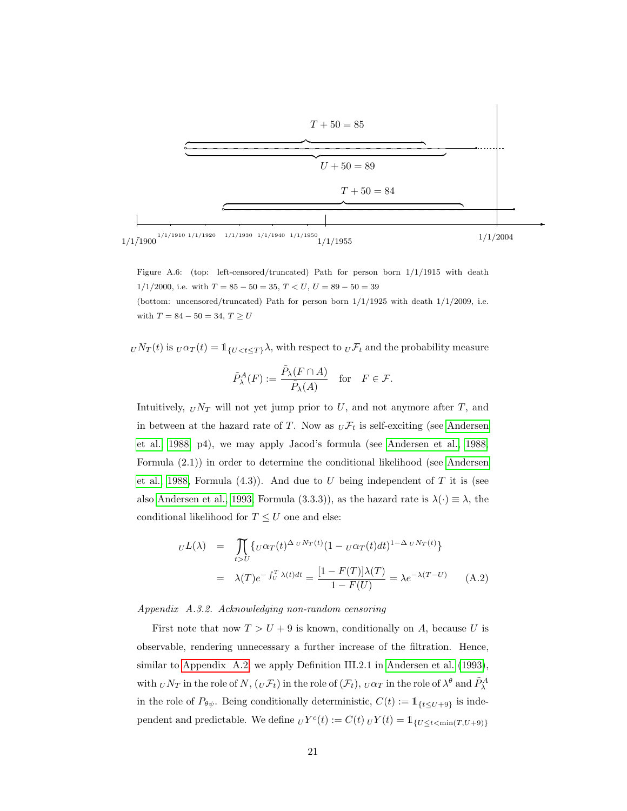

<span id="page-20-1"></span>Figure A.6: (top: left-censored/truncated) Path for person born 1/1/1915 with death  $1/1/2000$ , i.e. with  $T = 85 - 50 = 35$ ,  $T < U$ ,  $U = 89 - 50 = 39$ 

(bottom: uncensored/truncated) Path for person born  $1/1/1925$  with death  $1/1/2009$ , i.e. with  $T = 84 - 50 = 34, T \ge U$ 

 $U N_T(t)$  is  $U \alpha_T(t) = 1$ <sub>{U <t ≤T}</sub> $\lambda$ , with respect to  $U \mathcal{F}_t$  and the probability measure

$$
\tilde{P}^A_\lambda(F) := \frac{\tilde{P}_\lambda(F \cap A)}{\tilde{P}_\lambda(A)} \quad \text{for} \quad F \in \mathcal{F}.
$$

Intuitively,  $_UV_T$  will not yet jump prior to U, and not anymore after T, and in between at the hazard rate of T. Now as  $_U \mathcal{F}_t$  is self-exciting (see [Andersen](#page-15-2) [et al., 1988,](#page-15-2) p4), we may apply Jacod's formula (see [Andersen et al., 1988,](#page-15-2) Formula (2.1)) in order to determine the conditional likelihood (see [Andersen](#page-15-2) [et al., 1988,](#page-15-2) Formula  $(4.3)$ ). And due to U being independent of T it is (see also [Andersen et al., 1993,](#page-15-4) Formula (3.3.3)), as the hazard rate is  $\lambda(\cdot) \equiv \lambda$ , the conditional likelihood for  $T \leq U$  one and else:

<span id="page-20-0"></span>
$$
U^{L}(\lambda) = \prod_{t>U} \{ U^{\alpha}T(t)^{\Delta_U N_T(t)} (1 - U^{\alpha}T(t)dt)^{1-\Delta_U N_T(t)} \}
$$
  

$$
= \lambda(T)e^{-\int_U^T \lambda(t)dt} = \frac{[1 - F(T)]\lambda(T)}{1 - F(U)} = \lambda e^{-\lambda(T-U)} \qquad (A.2)
$$

Appendix A.3.2. Acknowledging non-random censoring

First note that now  $T > U + 9$  is known, conditionally on A, because U is observable, rendering unnecessary a further increase of the filtration. Hence, similar to [Appendix A.2,](#page-17-0) we apply Definition III.2.1 in [Andersen et al.](#page-15-4) [\(1993\)](#page-15-4), with  $_U N_T$  in the role of  $N$ ,  $(U\mathcal{F}_t)$  in the role of  $(\mathcal{F}_t)$ ,  $_U \alpha_T$  in the role of  $\lambda^{\theta}$  and  $\tilde{P}_{\lambda}^A$ in the role of  $P_{\theta\psi}$ . Being conditionally deterministic,  $C(t) := \mathbb{1}_{\{t \leq U+\theta\}}$  is independent and predictable. We define  $_U Y^c(t) := C(t) U Y(t) = \mathbb{1}_{\{U \le t < \min(T, U + 9)\}}$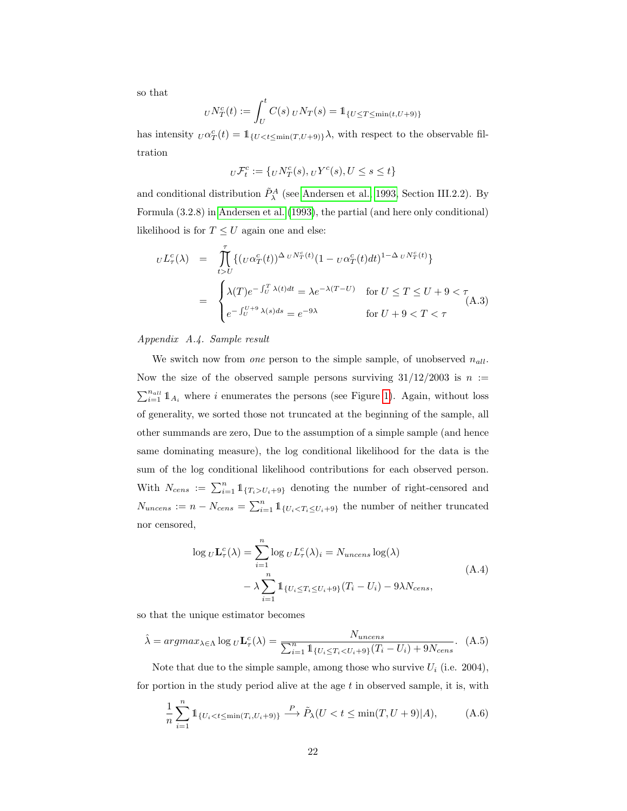so that

$$
U N_T^c(t) := \int_U^t C(s) U N_T(s) = 1\!\!1_{\{U \le T \le \min(t, U + 9)\}}
$$

has intensity  $U \alpha_T^c(t) = \mathbb{1}_{\{U < t \leq \min(T, U + 9)\}} \lambda$ , with respect to the observable filtration

$$
_U\mathcal{F}^c_t:=\{ {_UN^c_T}(s), {_UV^c}(s), U\leq s\leq t\}
$$

and conditional distribution  $\tilde{P}_{\lambda}^{A}$  (see [Andersen et al., 1993,](#page-15-4) Section III.2.2). By Formula (3.2.8) in [Andersen et al.](#page-15-4) [\(1993\)](#page-15-4), the partial (and here only conditional) likelihood is for  $T \leq U$  again one and else:

<span id="page-21-2"></span>
$$
U L_{\tau}^{c}(\lambda) = \int_{t > U}^{\tau} \{ (\nu \alpha_{T}^{c}(t))^{\Delta} \nu N_{T}^{c}(t) (1 - \nu \alpha_{T}^{c}(t) dt)^{1 - \Delta} \nu N_{T}^{c}(t) \}
$$
  

$$
= \begin{cases} \lambda(T) e^{-\int_{U}^{T} \lambda(t) dt} = \lambda e^{-\lambda(T - U)} & \text{for } U \leq T \leq U + 9 < \tau \\ e^{-\int_{U}^{U+9} \lambda(s) ds} = e^{-9\lambda} & \text{for } U + 9 < T < \tau \end{cases}
$$
(A.3)

<span id="page-21-0"></span>Appendix A.4. Sample result

We switch now from one person to the simple sample, of unobserved  $n_{all}$ . Now the size of the observed sample persons surviving  $31/12/2003$  is  $n :=$  $\sum_{i=1}^{n_{all}}$  1<sub>Ai</sub> where i enumerates the persons (see Figure [1\)](#page-7-0). Again, without loss of generality, we sorted those not truncated at the beginning of the sample, all other summands are zero, Due to the assumption of a simple sample (and hence same dominating measure), the log conditional likelihood for the data is the sum of the log conditional likelihood contributions for each observed person. With  $N_{cens} := \sum_{i=1}^{n} \mathbb{1}_{\{T_i > U_i + 9\}}$  denoting the number of right-censored and  $N_{uncens} := n - N_{cens} = \sum_{i=1}^{n} \mathbb{1}_{\{U_i < T_i \leq U_i + 9\}}$  the number of neither truncated nor censored,

$$
\log_{U} \mathbf{L}_{\tau}^{c}(\lambda) = \sum_{i=1}^{n} \log_{U} L_{\tau}^{c}(\lambda)_{i} = N_{uncens} \log(\lambda)
$$

$$
- \lambda \sum_{i=1}^{n} \mathbb{1}_{\{U_{i} \leq T_{i} \leq U_{i} + \theta\}} (T_{i} - U_{i}) - 9\lambda N_{cens}, \tag{A.4}
$$

<span id="page-21-4"></span>so that the unique estimator becomes

<span id="page-21-1"></span>
$$
\hat{\lambda} = argmax_{\lambda \in \Lambda} \log_{U} \mathbf{L}_{\tau}^{c}(\lambda) = \frac{N_{uncens}}{\sum_{i=1}^{n} \mathbb{1}_{\{U_{i} \le T_{i} < U_{i} + 9\}} (T_{i} - U_{i}) + 9N_{cens}}. \tag{A.5}
$$

Note that due to the simple sample, among those who survive  $U_i$  (i.e. 2004), for portion in the study period alive at the age  $t$  in observed sample, it is, with

<span id="page-21-3"></span>
$$
\frac{1}{n} \sum_{i=1}^{n} \mathbb{1}_{\{U_i < t \le \min(T_i, U_i + 9)\}} \xrightarrow{P} \tilde{P}_{\lambda}(U < t \le \min(T, U + 9)|A), \tag{A.6}
$$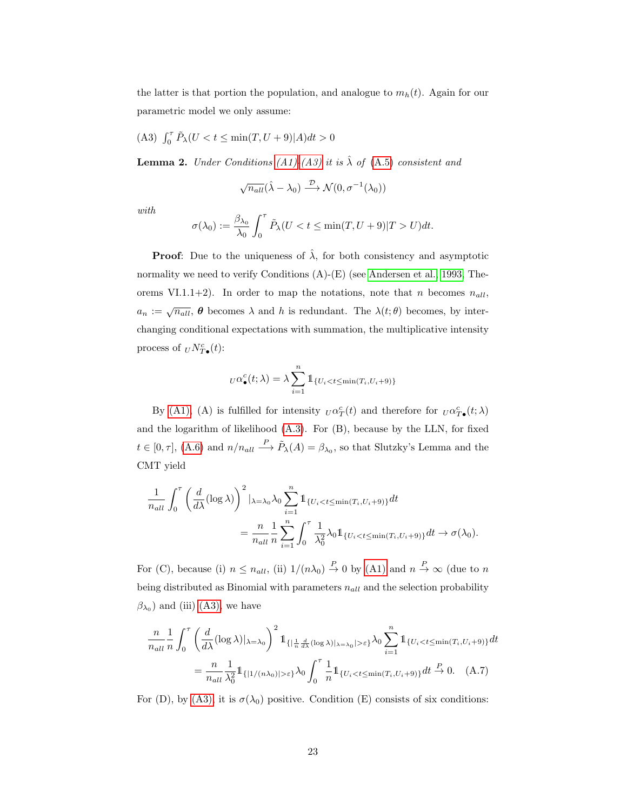the latter is that portion the population, and analogue to  $m_h(t)$ . Again for our parametric model we only assume:

<span id="page-22-1"></span>(A3)  $\int_0^{\tau} \tilde{P}_{\lambda}(U < t \le \min(T, U + 9)|A)dt > 0$ 

<span id="page-22-0"></span>**Lemma 2.** Under Conditions [\(A1\)-](#page-17-2)[\(A3\)](#page-22-1) it is  $\hat{\lambda}$  of [\(A.5\)](#page-21-1) consistent and

$$
\sqrt{n_{all}}(\hat{\lambda} - \lambda_0) \xrightarrow{\mathcal{D}} \mathcal{N}(0, \sigma^{-1}(\lambda_0))
$$

with

$$
\sigma(\lambda_0) := \frac{\beta_{\lambda_0}}{\lambda_0} \int_0^{\tau} \tilde{P}_{\lambda}(U < t \le \min(T, U + 9)|T > U)dt.
$$

**Proof:** Due to the uniqueness of  $\hat{\lambda}$ , for both consistency and asymptotic normality we need to verify Conditions (A)-(E) (see [Andersen et al., 1993,](#page-15-4) Theorems VI.1.1+2). In order to map the notations, note that n becomes  $n_{all}$ ,  $a_n := \sqrt{n_{all}}$ ,  $\theta$  becomes  $\lambda$  and  $h$  is redundant. The  $\lambda(t;\theta)$  becomes, by interchanging conditional expectations with summation, the multiplicative intensity process of  $_U N_{T\bullet}^c(t)$ :

$$
U\alpha_{\bullet}^{c}(t;\lambda) = \lambda \sum_{i=1}^{n} \mathbb{1}_{\{U_{i} < t \leq \min(T_{i}, U_{i}+9)\}}
$$

By [\(A1\),](#page-17-2) (A) is fulfilled for intensity  $U \alpha_T^c(t)$  and therefore for  $U \alpha_T^c(t; \lambda)$ and the logarithm of likelihood [\(A.3\)](#page-21-2). For (B), because by the LLN, for fixed  $t \in [0, \tau]$ , [\(A.6\)](#page-21-3) and  $n/n_{all} \stackrel{P}{\longrightarrow} \tilde{P}_{\lambda}(A) = \beta_{\lambda_0}$ , so that Slutzky's Lemma and the CMT yield

$$
\frac{1}{n_{all}} \int_0^{\tau} \left( \frac{d}{d\lambda} (\log \lambda) \right)^2 |_{\lambda = \lambda_0} \lambda_0 \sum_{i=1}^n \mathbb{1}_{\{U_i < t \le \min(T_i, U_i + 9)\}} dt
$$
\n
$$
= \frac{n}{n_{all}} \frac{1}{n} \sum_{i=1}^n \int_0^{\tau} \frac{1}{\lambda_0^2} \lambda_0 \mathbb{1}_{\{U_i < t \le \min(T_i, U_i + 9)\}} dt \to \sigma(\lambda_0).
$$

For (C), because (i)  $n \leq n_{all}$ , (ii)  $1/(n\lambda_0) \stackrel{P}{\to} 0$  by [\(A1\)](#page-17-2) and  $n \stackrel{P}{\to} \infty$  (due to n being distributed as Binomial with parameters  $n_{all}$  and the selection probability  $(\beta_{\lambda_0})$  and (iii) [\(A3\),](#page-22-1) we have

<span id="page-22-2"></span>
$$
\frac{n}{n_{all}} \frac{1}{n} \int_0^{\tau} \left( \frac{d}{d\lambda} (\log \lambda)|_{\lambda = \lambda_0} \right)^2 \mathbb{1}_{\{|\frac{1}{n} \frac{d}{d\lambda} (\log \lambda)|_{\lambda = \lambda_0} \ge \varepsilon\}} \lambda_0 \sum_{i=1}^n \mathbb{1}_{\{U_i < t \le \min(T_i, U_i + 9)\}} dt
$$
\n
$$
= \frac{n}{n_{all}} \frac{1}{\lambda_0^2} \mathbb{1}_{\{|1/(n\lambda_0)| > \varepsilon\}} \lambda_0 \int_0^{\tau} \frac{1}{n} \mathbb{1}_{\{U_i < t \le \min(T_i, U_i + 9)\}} dt \xrightarrow{P} 0. \quad (A.7)
$$

For (D), by [\(A3\),](#page-22-1) it is  $\sigma(\lambda_0)$  positive. Condition (E) consists of six conditions: